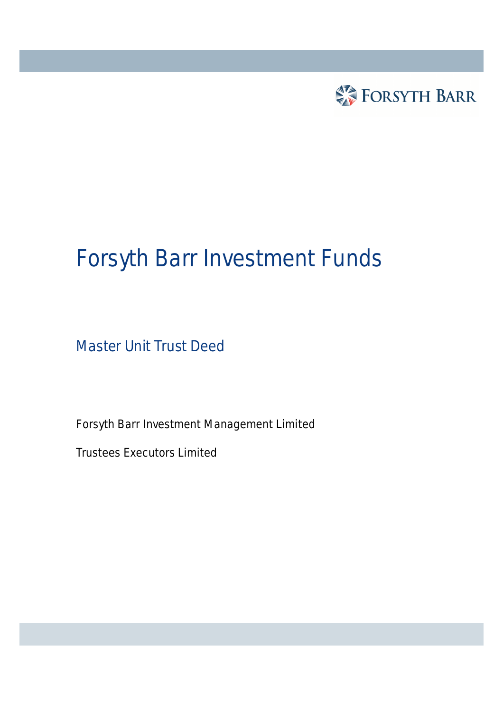

# Forsyth Barr Investment Funds

Master Unit Trust Deed

Forsyth Barr Investment Management Limited

Trustees Executors Limited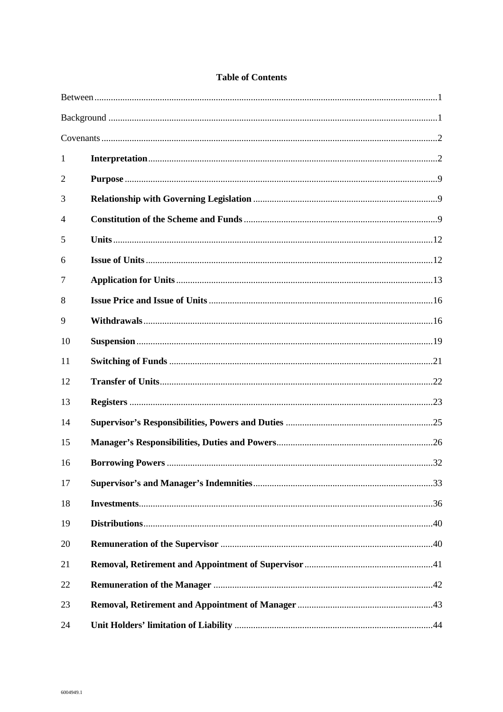#### **Table of Contents**

| 1              |  |
|----------------|--|
| $\overline{2}$ |  |
| 3              |  |
| 4              |  |
| 5              |  |
| 6              |  |
| 7              |  |
| 8              |  |
| 9              |  |
| 10             |  |
| 11             |  |
| 12             |  |
| 13             |  |
| 14             |  |
| 15             |  |
| 16             |  |
| 17             |  |
| 18             |  |
| 19             |  |
| 20             |  |
| 21             |  |
| 22             |  |
| 23             |  |
| 24             |  |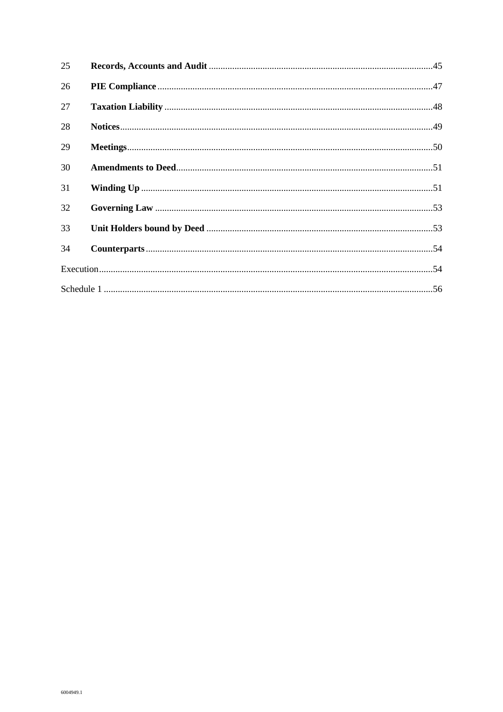| 25 |  |
|----|--|
| 26 |  |
| 27 |  |
| 28 |  |
| 29 |  |
| 30 |  |
| 31 |  |
| 32 |  |
| 33 |  |
| 34 |  |
|    |  |
|    |  |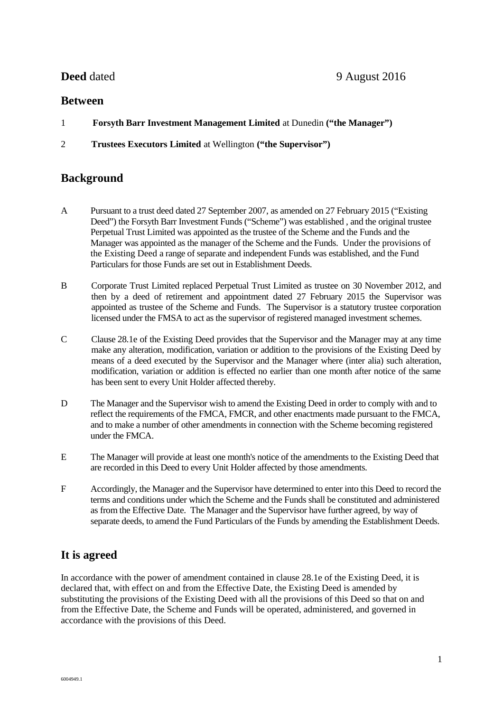## **Between**

- 1 **Forsyth Barr Investment Management Limited** at Dunedin **("the Manager")**
- 2 **Trustees Executors Limited** at Wellington **("the Supervisor")**

# **Background**

- A Pursuant to a trust deed dated 27 September 2007, as amended on 27 February 2015 ("Existing Deed") the Forsyth Barr Investment Funds ("Scheme") was established , and the original trustee Perpetual Trust Limited was appointed as the trustee of the Scheme and the Funds and the Manager was appointed as the manager of the Scheme and the Funds. Under the provisions of the Existing Deed a range of separate and independent Funds was established, and the Fund Particulars for those Funds are set out in Establishment Deeds.
- B Corporate Trust Limited replaced Perpetual Trust Limited as trustee on 30 November 2012, and then by a deed of retirement and appointment dated 27 February 2015 the Supervisor was appointed as trustee of the Scheme and Funds. The Supervisor is a statutory trustee corporation licensed under the FMSA to act as the supervisor of registered managed investment schemes.
- C Clause 28.1e of the Existing Deed provides that the Supervisor and the Manager may at any time make any alteration, modification, variation or addition to the provisions of the Existing Deed by means of a deed executed by the Supervisor and the Manager where (inter alia) such alteration, modification, variation or addition is effected no earlier than one month after notice of the same has been sent to every Unit Holder affected thereby.
- D The Manager and the Supervisor wish to amend the Existing Deed in order to comply with and to reflect the requirements of the FMCA, FMCR, and other enactments made pursuant to the FMCA, and to make a number of other amendments in connection with the Scheme becoming registered under the FMCA.
- E The Manager will provide at least one month's notice of the amendments to the Existing Deed that are recorded in this Deed to every Unit Holder affected by those amendments.
- F Accordingly, the Manager and the Supervisor have determined to enter into this Deed to record the terms and conditions under which the Scheme and the Funds shall be constituted and administered as from the Effective Date. The Manager and the Supervisor have further agreed, by way of separate deeds, to amend the Fund Particulars of the Funds by amending the Establishment Deeds.

# **It is agreed**

In accordance with the power of amendment contained in clause 28.1e of the Existing Deed, it is declared that, with effect on and from the Effective Date, the Existing Deed is amended by substituting the provisions of the Existing Deed with all the provisions of this Deed so that on and from the Effective Date, the Scheme and Funds will be operated, administered, and governed in accordance with the provisions of this Deed.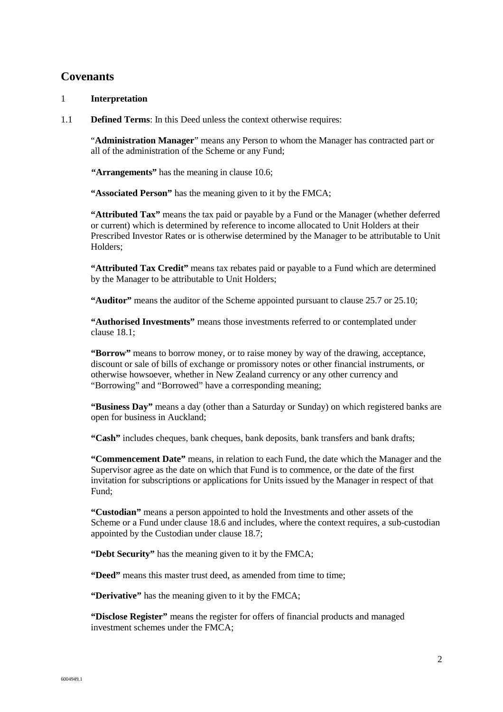# **Covenants**

#### 1 **Interpretation**

1.1 **Defined Terms**: In this Deed unless the context otherwise requires:

"**Administration Manager**" means any Person to whom the Manager has contracted part or all of the administration of the Scheme or any Fund;

**"Arrangements"** has the meaning in clause 10.6;

**"Associated Person"** has the meaning given to it by the FMCA;

**"Attributed Tax"** means the tax paid or payable by a Fund or the Manager (whether deferred or current) which is determined by reference to income allocated to Unit Holders at their Prescribed Investor Rates or is otherwise determined by the Manager to be attributable to Unit Holders;

**"Attributed Tax Credit"** means tax rebates paid or payable to a Fund which are determined by the Manager to be attributable to Unit Holders;

**"Auditor"** means the auditor of the Scheme appointed pursuant to clause 25.7 or 25.10;

**"Authorised Investments"** means those investments referred to or contemplated under clause 18.1;

**"Borrow"** means to borrow money, or to raise money by way of the drawing, acceptance, discount or sale of bills of exchange or promissory notes or other financial instruments, or otherwise howsoever, whether in New Zealand currency or any other currency and "Borrowing" and "Borrowed" have a corresponding meaning;

**"Business Day"** means a day (other than a Saturday or Sunday) on which registered banks are open for business in Auckland;

**"Cash"** includes cheques, bank cheques, bank deposits, bank transfers and bank drafts;

**"Commencement Date"** means, in relation to each Fund, the date which the Manager and the Supervisor agree as the date on which that Fund is to commence, or the date of the first invitation for subscriptions or applications for Units issued by the Manager in respect of that Fund;

**"Custodian"** means a person appointed to hold the Investments and other assets of the Scheme or a Fund under clause 18.6 and includes, where the context requires, a sub-custodian appointed by the Custodian under clause 18.7;

**"Debt Security"** has the meaning given to it by the FMCA;

**"Deed"** means this master trust deed, as amended from time to time;

**"Derivative"** has the meaning given to it by the FMCA;

**"Disclose Register"** means the register for offers of financial products and managed investment schemes under the FMCA;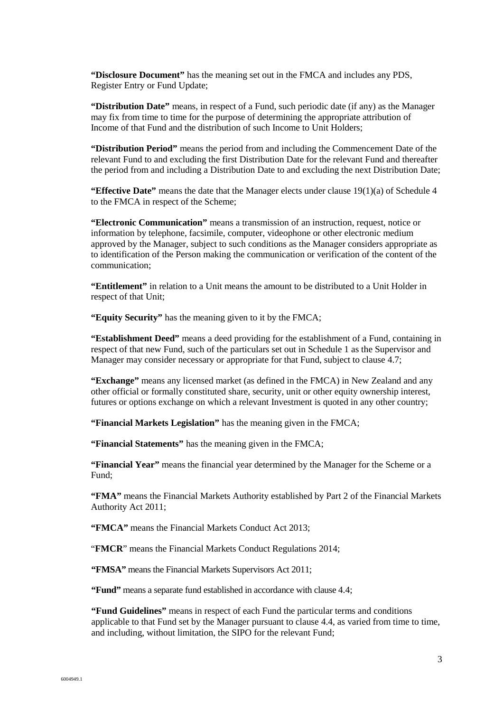**"Disclosure Document"** has the meaning set out in the FMCA and includes any PDS, Register Entry or Fund Update;

**"Distribution Date"** means, in respect of a Fund, such periodic date (if any) as the Manager may fix from time to time for the purpose of determining the appropriate attribution of Income of that Fund and the distribution of such Income to Unit Holders;

**"Distribution Period"** means the period from and including the Commencement Date of the relevant Fund to and excluding the first Distribution Date for the relevant Fund and thereafter the period from and including a Distribution Date to and excluding the next Distribution Date;

**"Effective Date"** means the date that the Manager elects under clause 19(1)(a) of Schedule 4 to the FMCA in respect of the Scheme;

**"Electronic Communication"** means a transmission of an instruction, request, notice or information by telephone, facsimile, computer, videophone or other electronic medium approved by the Manager, subject to such conditions as the Manager considers appropriate as to identification of the Person making the communication or verification of the content of the communication;

**"Entitlement"** in relation to a Unit means the amount to be distributed to a Unit Holder in respect of that Unit;

**"Equity Security"** has the meaning given to it by the FMCA;

**"Establishment Deed"** means a deed providing for the establishment of a Fund, containing in respect of that new Fund, such of the particulars set out in Schedule 1 as the Supervisor and Manager may consider necessary or appropriate for that Fund, subject to clause 4.7;

**"Exchange"** means any licensed market (as defined in the FMCA) in New Zealand and any other official or formally constituted share, security, unit or other equity ownership interest, futures or options exchange on which a relevant Investment is quoted in any other country;

**"Financial Markets Legislation"** has the meaning given in the FMCA;

**"Financial Statements"** has the meaning given in the FMCA;

**"Financial Year"** means the financial year determined by the Manager for the Scheme or a Fund;

**"FMA"** means the Financial Markets Authority established by Part 2 of the Financial Markets Authority Act 2011;

**"FMCA"** means the Financial Markets Conduct Act 2013;

"**FMCR**" means the Financial Markets Conduct Regulations 2014;

**"FMSA"** means the Financial Markets Supervisors Act 2011;

**"Fund"** means a separate fund established in accordance with clause 4.4;

**"Fund Guidelines"** means in respect of each Fund the particular terms and conditions applicable to that Fund set by the Manager pursuant to clause 4.4, as varied from time to time, and including, without limitation, the SIPO for the relevant Fund;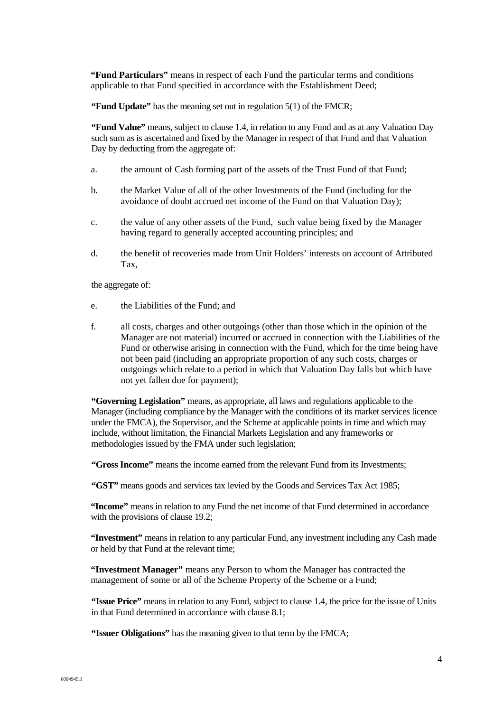**"Fund Particulars"** means in respect of each Fund the particular terms and conditions applicable to that Fund specified in accordance with the Establishment Deed;

**"Fund Update"** has the meaning set out in regulation 5(1) of the FMCR;

**"Fund Value"** means, subject to clause 1.4, in relation to any Fund and as at any Valuation Day such sum as is ascertained and fixed by the Manager in respect of that Fund and that Valuation Day by deducting from the aggregate of:

- a. the amount of Cash forming part of the assets of the Trust Fund of that Fund;
- b. the Market Value of all of the other Investments of the Fund (including for the avoidance of doubt accrued net income of the Fund on that Valuation Day);
- c. the value of any other assets of the Fund, such value being fixed by the Manager having regard to generally accepted accounting principles; and
- d. the benefit of recoveries made from Unit Holders' interests on account of Attributed Tax,

the aggregate of:

- e. the Liabilities of the Fund; and
- f. all costs, charges and other outgoings (other than those which in the opinion of the Manager are not material) incurred or accrued in connection with the Liabilities of the Fund or otherwise arising in connection with the Fund, which for the time being have not been paid (including an appropriate proportion of any such costs, charges or outgoings which relate to a period in which that Valuation Day falls but which have not yet fallen due for payment);

**"Governing Legislation"** means, as appropriate, all laws and regulations applicable to the Manager (including compliance by the Manager with the conditions of its market services licence under the FMCA), the Supervisor, and the Scheme at applicable points in time and which may include, without limitation, the Financial Markets Legislation and any frameworks or methodologies issued by the FMA under such legislation;

**"Gross Income"** means the income earned from the relevant Fund from its Investments;

**"GST"** means goods and services tax levied by the Goods and Services Tax Act 1985;

**"Income"** means in relation to any Fund the net income of that Fund determined in accordance with the provisions of clause 19.2;

**"Investment"** means in relation to any particular Fund, any investment including any Cash made or held by that Fund at the relevant time;

**"Investment Manager"** means any Person to whom the Manager has contracted the management of some or all of the Scheme Property of the Scheme or a Fund;

**"Issue Price"** means in relation to any Fund, subject to clause 1.4, the price for the issue of Units in that Fund determined in accordance with clause 8.1;

**"Issuer Obligations"** has the meaning given to that term by the FMCA;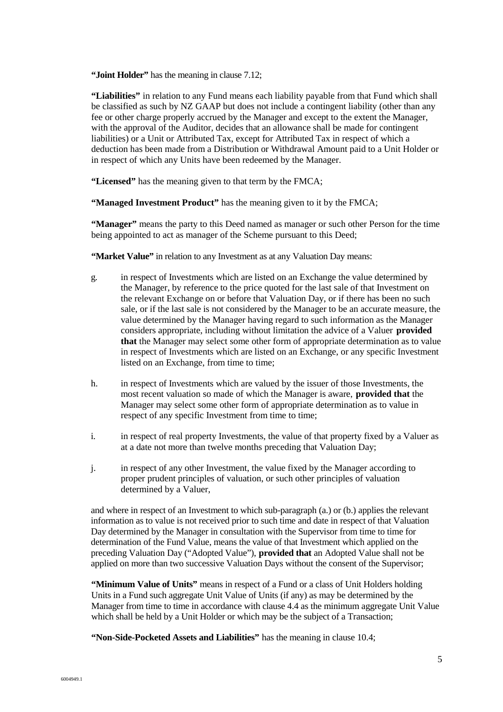**"Joint Holder"** has the meaning in clause 7.12;

**"Liabilities"** in relation to any Fund means each liability payable from that Fund which shall be classified as such by NZ GAAP but does not include a contingent liability (other than any fee or other charge properly accrued by the Manager and except to the extent the Manager, with the approval of the Auditor, decides that an allowance shall be made for contingent liabilities) or a Unit or Attributed Tax, except for Attributed Tax in respect of which a deduction has been made from a Distribution or Withdrawal Amount paid to a Unit Holder or in respect of which any Units have been redeemed by the Manager.

**"Licensed"** has the meaning given to that term by the FMCA;

**"Managed Investment Product"** has the meaning given to it by the FMCA;

**"Manager"** means the party to this Deed named as manager or such other Person for the time being appointed to act as manager of the Scheme pursuant to this Deed:

**"Market Value"** in relation to any Investment as at any Valuation Day means:

- g. in respect of Investments which are listed on an Exchange the value determined by the Manager, by reference to the price quoted for the last sale of that Investment on the relevant Exchange on or before that Valuation Day, or if there has been no such sale, or if the last sale is not considered by the Manager to be an accurate measure, the value determined by the Manager having regard to such information as the Manager considers appropriate, including without limitation the advice of a Valuer **provided that** the Manager may select some other form of appropriate determination as to value in respect of Investments which are listed on an Exchange, or any specific Investment listed on an Exchange, from time to time;
- h. in respect of Investments which are valued by the issuer of those Investments, the most recent valuation so made of which the Manager is aware, **provided that** the Manager may select some other form of appropriate determination as to value in respect of any specific Investment from time to time;
- i. in respect of real property Investments, the value of that property fixed by a Valuer as at a date not more than twelve months preceding that Valuation Day;
- j. in respect of any other Investment, the value fixed by the Manager according to proper prudent principles of valuation, or such other principles of valuation determined by a Valuer,

and where in respect of an Investment to which sub-paragraph (a.) or (b.) applies the relevant information as to value is not received prior to such time and date in respect of that Valuation Day determined by the Manager in consultation with the Supervisor from time to time for determination of the Fund Value, means the value of that Investment which applied on the preceding Valuation Day ("Adopted Value"), **provided that** an Adopted Value shall not be applied on more than two successive Valuation Days without the consent of the Supervisor;

**"Minimum Value of Units"** means in respect of a Fund or a class of Unit Holders holding Units in a Fund such aggregate Unit Value of Units (if any) as may be determined by the Manager from time to time in accordance with clause 4.4 as the minimum aggregate Unit Value which shall be held by a Unit Holder or which may be the subject of a Transaction:

**"Non-Side-Pocketed Assets and Liabilities"** has the meaning in clause 10.4;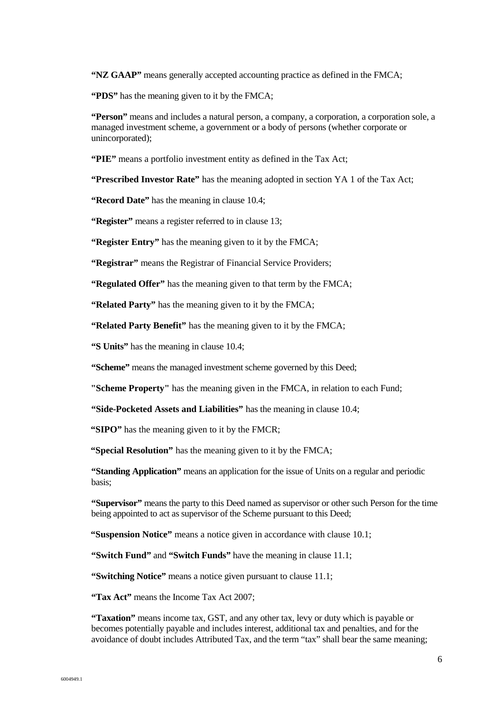**"NZ GAAP"** means generally accepted accounting practice as defined in the FMCA;

**"PDS"** has the meaning given to it by the FMCA;

**"Person"** means and includes a natural person, a company, a corporation, a corporation sole, a managed investment scheme, a government or a body of persons (whether corporate or unincorporated);

**"PIE"** means a portfolio investment entity as defined in the Tax Act;

**"Prescribed Investor Rate"** has the meaning adopted in section YA 1 of the Tax Act;

**"Record Date"** has the meaning in clause 10.4;

**"Register"** means a register referred to in clause 13;

**"Register Entry"** has the meaning given to it by the FMCA;

**"Registrar"** means the Registrar of Financial Service Providers;

**"Regulated Offer"** has the meaning given to that term by the FMCA;

**"Related Party"** has the meaning given to it by the FMCA;

**"Related Party Benefit"** has the meaning given to it by the FMCA;

**"S Units"** has the meaning in clause 10.4;

**"Scheme"** means the managed investment scheme governed by this Deed;

**"Scheme Property"** has the meaning given in the FMCA, in relation to each Fund;

**"Side-Pocketed Assets and Liabilities"** has the meaning in clause 10.4;

**"SIPO"** has the meaning given to it by the FMCR;

**"Special Resolution"** has the meaning given to it by the FMCA;

**"Standing Application"** means an application for the issue of Units on a regular and periodic basis;

**"Supervisor"** means the party to this Deed named as supervisor or other such Person for the time being appointed to act as supervisor of the Scheme pursuant to this Deed;

**"Suspension Notice"** means a notice given in accordance with clause 10.1;

**"Switch Fund"** and "Switch Funds" have the meaning in clause 11.1;

**"Switching Notice"** means a notice given pursuant to clause 11.1;

**"Tax Act"** means the Income Tax Act 2007;

**"Taxation"** means income tax, GST, and any other tax, levy or duty which is payable or becomes potentially payable and includes interest, additional tax and penalties, and for the avoidance of doubt includes Attributed Tax, and the term "tax" shall bear the same meaning;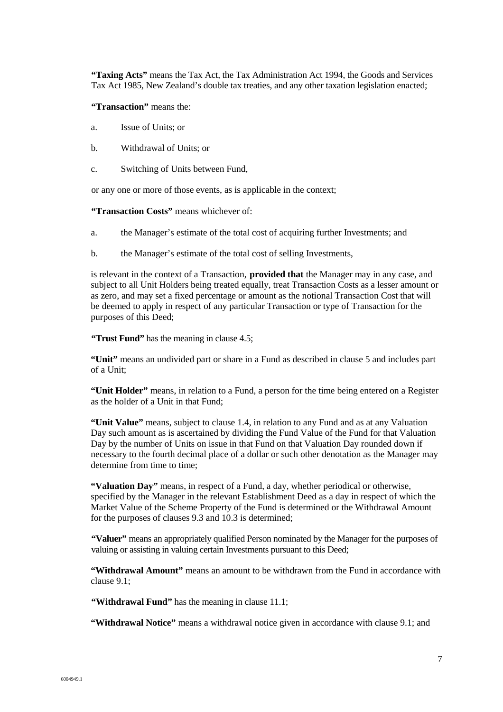**"Taxing Acts"** means the Tax Act, the Tax Administration Act 1994, the Goods and Services Tax Act 1985, New Zealand's double tax treaties, and any other taxation legislation enacted;

**"Transaction"** means the:

- a. Issue of Units; or
- b. Withdrawal of Units; or
- c. Switching of Units between Fund,

or any one or more of those events, as is applicable in the context;

**"Transaction Costs"** means whichever of:

- a. the Manager's estimate of the total cost of acquiring further Investments; and
- b. the Manager's estimate of the total cost of selling Investments,

is relevant in the context of a Transaction, **provided that** the Manager may in any case, and subject to all Unit Holders being treated equally, treat Transaction Costs as a lesser amount or as zero, and may set a fixed percentage or amount as the notional Transaction Cost that will be deemed to apply in respect of any particular Transaction or type of Transaction for the purposes of this Deed;

**"Trust Fund"** has the meaning in clause 4.5;

**"Unit"** means an undivided part or share in a Fund as described in clause 5 and includes part of a Unit;

**"Unit Holder"** means, in relation to a Fund, a person for the time being entered on a Register as the holder of a Unit in that Fund;

**"Unit Value"** means, subject to clause 1.4, in relation to any Fund and as at any Valuation Day such amount as is ascertained by dividing the Fund Value of the Fund for that Valuation Day by the number of Units on issue in that Fund on that Valuation Day rounded down if necessary to the fourth decimal place of a dollar or such other denotation as the Manager may determine from time to time;

**"Valuation Day"** means, in respect of a Fund, a day, whether periodical or otherwise, specified by the Manager in the relevant Establishment Deed as a day in respect of which the Market Value of the Scheme Property of the Fund is determined or the Withdrawal Amount for the purposes of clauses 9.3 and 10.3 is determined;

**"Valuer"** means an appropriately qualified Person nominated by the Manager for the purposes of valuing or assisting in valuing certain Investments pursuant to this Deed;

**"Withdrawal Amount"** means an amount to be withdrawn from the Fund in accordance with clause 9.1;

**"Withdrawal Fund"** has the meaning in clause 11.1;

**"Withdrawal Notice"** means a withdrawal notice given in accordance with clause 9.1; and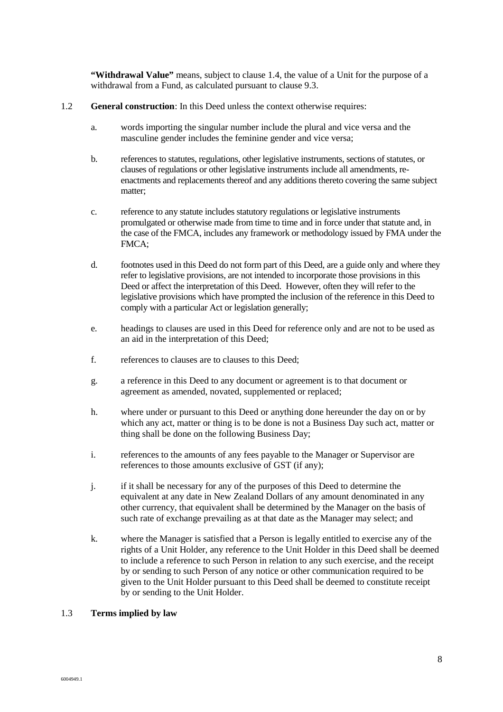**"Withdrawal Value"** means, subject to clause 1.4, the value of a Unit for the purpose of a withdrawal from a Fund, as calculated pursuant to clause 9.3.

#### 1.2 **General construction**: In this Deed unless the context otherwise requires:

- a. words importing the singular number include the plural and vice versa and the masculine gender includes the feminine gender and vice versa;
- b. references to statutes, regulations, other legislative instruments, sections of statutes, or clauses of regulations or other legislative instruments include all amendments, reenactments and replacements thereof and any additions thereto covering the same subject matter;
- c. reference to any statute includes statutory regulations or legislative instruments promulgated or otherwise made from time to time and in force under that statute and, in the case of the FMCA, includes any framework or methodology issued by FMA under the FMCA;
- d. footnotes used in this Deed do not form part of this Deed, are a guide only and where they refer to legislative provisions, are not intended to incorporate those provisions in this Deed or affect the interpretation of this Deed. However, often they will refer to the legislative provisions which have prompted the inclusion of the reference in this Deed to comply with a particular Act or legislation generally;
- e. headings to clauses are used in this Deed for reference only and are not to be used as an aid in the interpretation of this Deed;
- f. references to clauses are to clauses to this Deed;
- g. a reference in this Deed to any document or agreement is to that document or agreement as amended, novated, supplemented or replaced;
- h. where under or pursuant to this Deed or anything done hereunder the day on or by which any act, matter or thing is to be done is not a Business Day such act, matter or thing shall be done on the following Business Day;
- i. references to the amounts of any fees payable to the Manager or Supervisor are references to those amounts exclusive of GST (if any);
- j. if it shall be necessary for any of the purposes of this Deed to determine the equivalent at any date in New Zealand Dollars of any amount denominated in any other currency, that equivalent shall be determined by the Manager on the basis of such rate of exchange prevailing as at that date as the Manager may select; and
- k. where the Manager is satisfied that a Person is legally entitled to exercise any of the rights of a Unit Holder, any reference to the Unit Holder in this Deed shall be deemed to include a reference to such Person in relation to any such exercise, and the receipt by or sending to such Person of any notice or other communication required to be given to the Unit Holder pursuant to this Deed shall be deemed to constitute receipt by or sending to the Unit Holder.

#### 1.3 **Terms implied by law**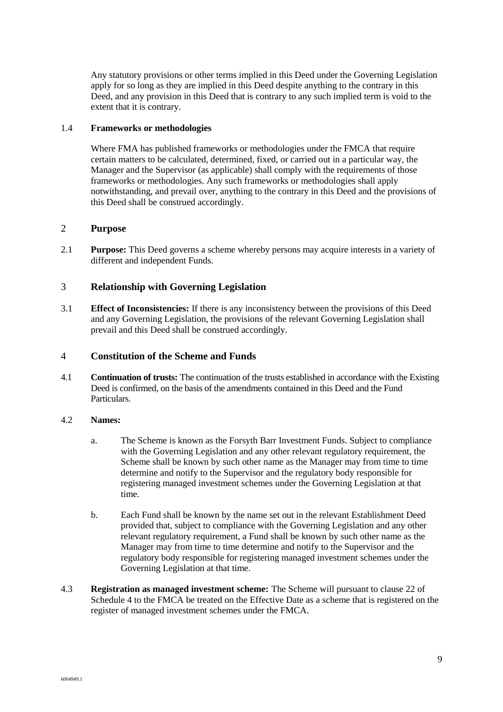Any statutory provisions or other terms implied in this Deed under the Governing Legislation apply for so long as they are implied in this Deed despite anything to the contrary in this Deed, and any provision in this Deed that is contrary to any such implied term is void to the extent that it is contrary.

#### 1.4 **Frameworks or methodologies**

Where FMA has published frameworks or methodologies under the FMCA that require certain matters to be calculated, determined, fixed, or carried out in a particular way, the Manager and the Supervisor (as applicable) shall comply with the requirements of those frameworks or methodologies. Any such frameworks or methodologies shall apply notwithstanding, and prevail over, anything to the contrary in this Deed and the provisions of this Deed shall be construed accordingly.

#### 2 **Purpose**

2.1 **Purpose:** This Deed governs a scheme whereby persons may acquire interests in a variety of different and independent Funds.

#### 3 **Relationship with Governing Legislation**

3.1 **Effect of Inconsistencies:** If there is any inconsistency between the provisions of this Deed and any Governing Legislation, the provisions of the relevant Governing Legislation shall prevail and this Deed shall be construed accordingly.

#### 4 **Constitution of the Scheme and Funds**

4.1 **Continuation of trusts:** The continuation of the trusts established in accordance with the Existing Deed is confirmed, on the basis of the amendments contained in this Deed and the Fund Particulars.

#### 4.2 **Names:**

- a. The Scheme is known as the Forsyth Barr Investment Funds. Subject to compliance with the Governing Legislation and any other relevant regulatory requirement, the Scheme shall be known by such other name as the Manager may from time to time determine and notify to the Supervisor and the regulatory body responsible for registering managed investment schemes under the Governing Legislation at that time.
- b. Each Fund shall be known by the name set out in the relevant Establishment Deed provided that, subject to compliance with the Governing Legislation and any other relevant regulatory requirement, a Fund shall be known by such other name as the Manager may from time to time determine and notify to the Supervisor and the regulatory body responsible for registering managed investment schemes under the Governing Legislation at that time.
- 4.3 **Registration as managed investment scheme:** The Scheme will pursuant to clause 22 of Schedule 4 to the FMCA be treated on the Effective Date as a scheme that is registered on the register of managed investment schemes under the FMCA.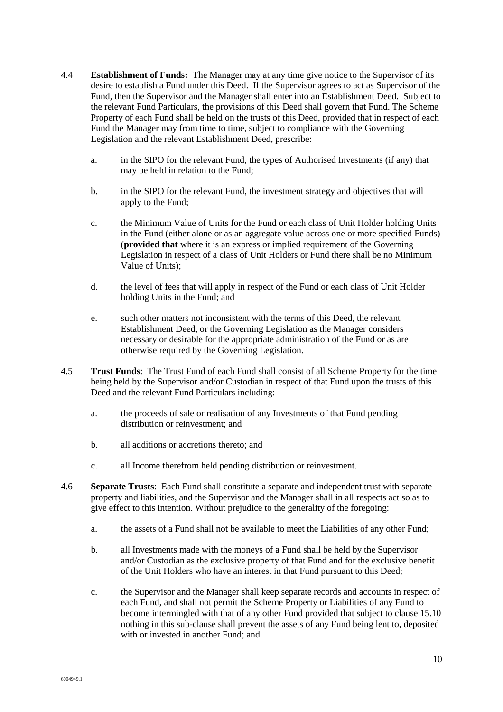- 4.4 **Establishment of Funds:** The Manager may at any time give notice to the Supervisor of its desire to establish a Fund under this Deed. If the Supervisor agrees to act as Supervisor of the Fund, then the Supervisor and the Manager shall enter into an Establishment Deed. Subject to the relevant Fund Particulars, the provisions of this Deed shall govern that Fund. The Scheme Property of each Fund shall be held on the trusts of this Deed, provided that in respect of each Fund the Manager may from time to time, subject to compliance with the Governing Legislation and the relevant Establishment Deed, prescribe:
	- a. in the SIPO for the relevant Fund, the types of Authorised Investments (if any) that may be held in relation to the Fund;
	- b. in the SIPO for the relevant Fund, the investment strategy and objectives that will apply to the Fund;
	- c. the Minimum Value of Units for the Fund or each class of Unit Holder holding Units in the Fund (either alone or as an aggregate value across one or more specified Funds) (**provided that** where it is an express or implied requirement of the Governing Legislation in respect of a class of Unit Holders or Fund there shall be no Minimum Value of Units);
	- d. the level of fees that will apply in respect of the Fund or each class of Unit Holder holding Units in the Fund; and
	- e. such other matters not inconsistent with the terms of this Deed, the relevant Establishment Deed, or the Governing Legislation as the Manager considers necessary or desirable for the appropriate administration of the Fund or as are otherwise required by the Governing Legislation.
- 4.5 **Trust Funds**: The Trust Fund of each Fund shall consist of all Scheme Property for the time being held by the Supervisor and/or Custodian in respect of that Fund upon the trusts of this Deed and the relevant Fund Particulars including:
	- a. the proceeds of sale or realisation of any Investments of that Fund pending distribution or reinvestment; and
	- b. all additions or accretions thereto; and
	- c. all Income therefrom held pending distribution or reinvestment.
- 4.6 **Separate Trusts**: Each Fund shall constitute a separate and independent trust with separate property and liabilities, and the Supervisor and the Manager shall in all respects act so as to give effect to this intention. Without prejudice to the generality of the foregoing:
	- a. the assets of a Fund shall not be available to meet the Liabilities of any other Fund;
	- b. all Investments made with the moneys of a Fund shall be held by the Supervisor and/or Custodian as the exclusive property of that Fund and for the exclusive benefit of the Unit Holders who have an interest in that Fund pursuant to this Deed;
	- c. the Supervisor and the Manager shall keep separate records and accounts in respect of each Fund, and shall not permit the Scheme Property or Liabilities of any Fund to become intermingled with that of any other Fund provided that subject to clause 15.10 nothing in this sub-clause shall prevent the assets of any Fund being lent to, deposited with or invested in another Fund; and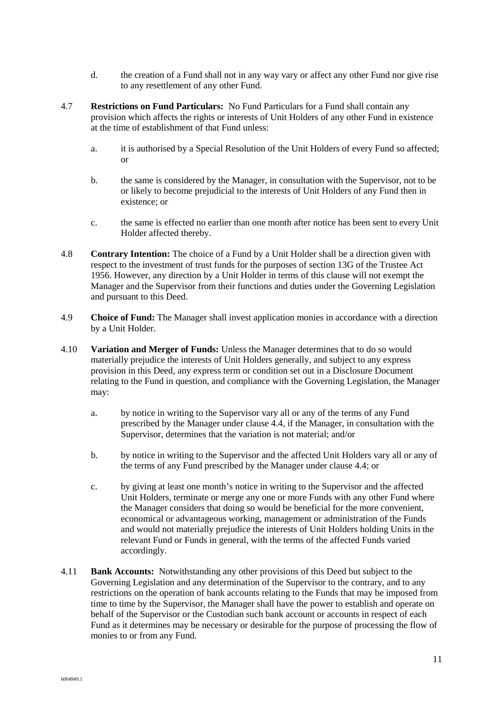- d. the creation of a Fund shall not in any way vary or affect any other Fund nor give rise to any resettlement of any other Fund.
- 4.7 **Restrictions on Fund Particulars:** No Fund Particulars for a Fund shall contain any provision which affects the rights or interests of Unit Holders of any other Fund in existence at the time of establishment of that Fund unless:
	- a. it is authorised by a Special Resolution of the Unit Holders of every Fund so affected; or
	- b. the same is considered by the Manager, in consultation with the Supervisor, not to be or likely to become prejudicial to the interests of Unit Holders of any Fund then in existence; or
	- c. the same is effected no earlier than one month after notice has been sent to every Unit Holder affected thereby.
- 4.8 **Contrary Intention:** The choice of a Fund by a Unit Holder shall be a direction given with respect to the investment of trust funds for the purposes of section 13G of the Trustee Act 1956. However, any direction by a Unit Holder in terms of this clause will not exempt the Manager and the Supervisor from their functions and duties under the Governing Legislation and pursuant to this Deed.
- 4.9 **Choice of Fund:** The Manager shall invest application monies in accordance with a direction by a Unit Holder.
- 4.10 **Variation and Merger of Funds:** Unless the Manager determines that to do so would materially prejudice the interests of Unit Holders generally, and subject to any express provision in this Deed, any express term or condition set out in a Disclosure Document relating to the Fund in question, and compliance with the Governing Legislation, the Manager may:
	- a. by notice in writing to the Supervisor vary all or any of the terms of any Fund prescribed by the Manager under clause 4.4, if the Manager, in consultation with the Supervisor, determines that the variation is not material; and/or
	- b. by notice in writing to the Supervisor and the affected Unit Holders vary all or any of the terms of any Fund prescribed by the Manager under clause 4.4; or
	- c. by giving at least one month's notice in writing to the Supervisor and the affected Unit Holders, terminate or merge any one or more Funds with any other Fund where the Manager considers that doing so would be beneficial for the more convenient, economical or advantageous working, management or administration of the Funds and would not materially prejudice the interests of Unit Holders holding Units in the relevant Fund or Funds in general, with the terms of the affected Funds varied accordingly.
- 4.11 **Bank Accounts:** Notwithstanding any other provisions of this Deed but subject to the Governing Legislation and any determination of the Supervisor to the contrary, and to any restrictions on the operation of bank accounts relating to the Funds that may be imposed from time to time by the Supervisor, the Manager shall have the power to establish and operate on behalf of the Supervisor or the Custodian such bank account or accounts in respect of each Fund as it determines may be necessary or desirable for the purpose of processing the flow of monies to or from any Fund.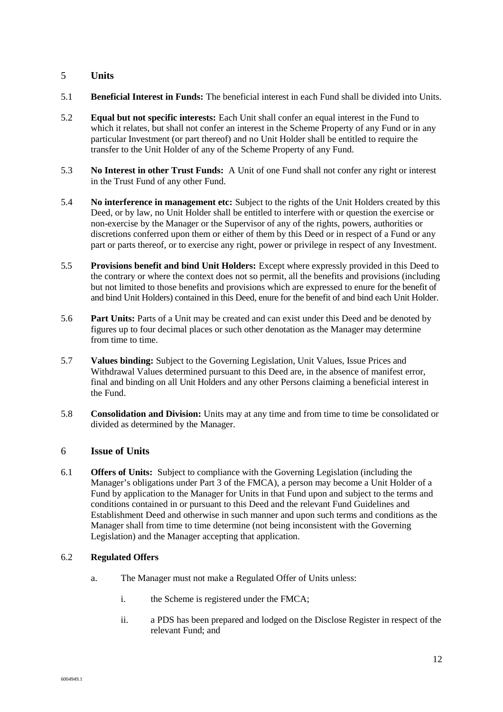#### 5 **Units**

- 5.1 **Beneficial Interest in Funds:** The beneficial interest in each Fund shall be divided into Units.
- 5.2 **Equal but not specific interests:** Each Unit shall confer an equal interest in the Fund to which it relates, but shall not confer an interest in the Scheme Property of any Fund or in any particular Investment (or part thereof) and no Unit Holder shall be entitled to require the transfer to the Unit Holder of any of the Scheme Property of any Fund.
- 5.3 **No Interest in other Trust Funds:** A Unit of one Fund shall not confer any right or interest in the Trust Fund of any other Fund.
- 5.4 **No interference in management etc:** Subject to the rights of the Unit Holders created by this Deed, or by law, no Unit Holder shall be entitled to interfere with or question the exercise or non-exercise by the Manager or the Supervisor of any of the rights, powers, authorities or discretions conferred upon them or either of them by this Deed or in respect of a Fund or any part or parts thereof, or to exercise any right, power or privilege in respect of any Investment.
- 5.5 **Provisions benefit and bind Unit Holders:** Except where expressly provided in this Deed to the contrary or where the context does not so permit, all the benefits and provisions (including but not limited to those benefits and provisions which are expressed to enure for the benefit of and bind Unit Holders) contained in this Deed, enure for the benefit of and bind each Unit Holder.
- 5.6 **Part Units:** Parts of a Unit may be created and can exist under this Deed and be denoted by figures up to four decimal places or such other denotation as the Manager may determine from time to time.
- 5.7 **Values binding:** Subject to the Governing Legislation, Unit Values, Issue Prices and Withdrawal Values determined pursuant to this Deed are, in the absence of manifest error, final and binding on all Unit Holders and any other Persons claiming a beneficial interest in the Fund.
- 5.8 **Consolidation and Division:** Units may at any time and from time to time be consolidated or divided as determined by the Manager.

#### 6 **Issue of Units**

6.1 **Offers of Units:** Subject to compliance with the Governing Legislation (including the Manager's obligations under Part 3 of the FMCA), a person may become a Unit Holder of a Fund by application to the Manager for Units in that Fund upon and subject to the terms and conditions contained in or pursuant to this Deed and the relevant Fund Guidelines and Establishment Deed and otherwise in such manner and upon such terms and conditions as the Manager shall from time to time determine (not being inconsistent with the Governing Legislation) and the Manager accepting that application.

#### 6.2 **Regulated Offers**

- a. The Manager must not make a Regulated Offer of Units unless:
	- i. the Scheme is registered under the FMCA;
	- ii. a PDS has been prepared and lodged on the Disclose Register in respect of the relevant Fund; and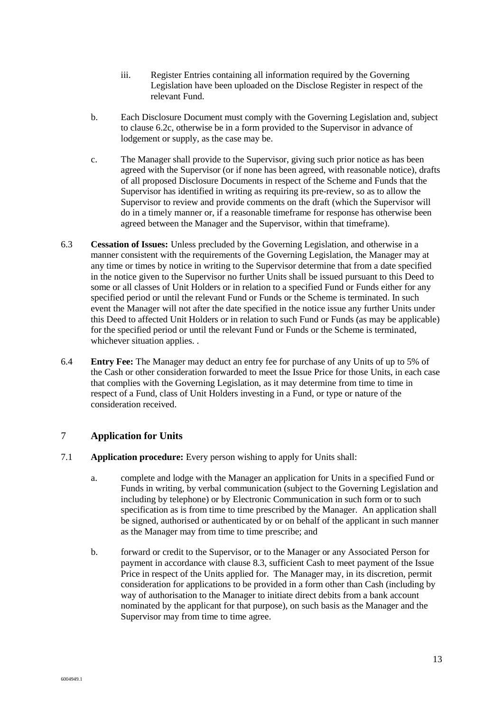- iii. Register Entries containing all information required by the Governing Legislation have been uploaded on the Disclose Register in respect of the relevant Fund.
- b. Each Disclosure Document must comply with the Governing Legislation and, subject to clause 6.2c, otherwise be in a form provided to the Supervisor in advance of lodgement or supply, as the case may be.
- c. The Manager shall provide to the Supervisor, giving such prior notice as has been agreed with the Supervisor (or if none has been agreed, with reasonable notice), drafts of all proposed Disclosure Documents in respect of the Scheme and Funds that the Supervisor has identified in writing as requiring its pre-review, so as to allow the Supervisor to review and provide comments on the draft (which the Supervisor will do in a timely manner or, if a reasonable timeframe for response has otherwise been agreed between the Manager and the Supervisor, within that timeframe).
- 6.3 **Cessation of Issues:** Unless precluded by the Governing Legislation, and otherwise in a manner consistent with the requirements of the Governing Legislation, the Manager may at any time or times by notice in writing to the Supervisor determine that from a date specified in the notice given to the Supervisor no further Units shall be issued pursuant to this Deed to some or all classes of Unit Holders or in relation to a specified Fund or Funds either for any specified period or until the relevant Fund or Funds or the Scheme is terminated. In such event the Manager will not after the date specified in the notice issue any further Units under this Deed to affected Unit Holders or in relation to such Fund or Funds (as may be applicable) for the specified period or until the relevant Fund or Funds or the Scheme is terminated, whichever situation applies. .
- 6.4 **Entry Fee:** The Manager may deduct an entry fee for purchase of any Units of up to 5% of the Cash or other consideration forwarded to meet the Issue Price for those Units, in each case that complies with the Governing Legislation, as it may determine from time to time in respect of a Fund, class of Unit Holders investing in a Fund, or type or nature of the consideration received.

#### 7 **Application for Units**

- 7.1 **Application procedure:** Every person wishing to apply for Units shall:
	- a. complete and lodge with the Manager an application for Units in a specified Fund or Funds in writing, by verbal communication (subject to the Governing Legislation and including by telephone) or by Electronic Communication in such form or to such specification as is from time to time prescribed by the Manager. An application shall be signed, authorised or authenticated by or on behalf of the applicant in such manner as the Manager may from time to time prescribe; and
	- b. forward or credit to the Supervisor, or to the Manager or any Associated Person for payment in accordance with clause 8.3, sufficient Cash to meet payment of the Issue Price in respect of the Units applied for. The Manager may, in its discretion, permit consideration for applications to be provided in a form other than Cash (including by way of authorisation to the Manager to initiate direct debits from a bank account nominated by the applicant for that purpose), on such basis as the Manager and the Supervisor may from time to time agree.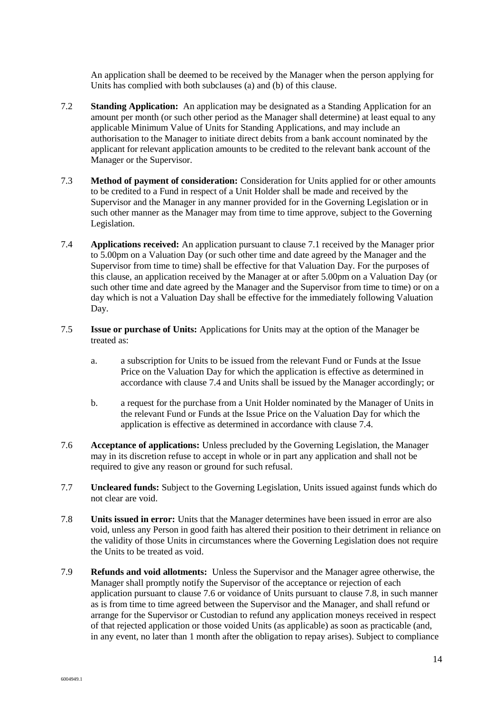An application shall be deemed to be received by the Manager when the person applying for Units has complied with both subclauses (a) and (b) of this clause.

- 7.2 **Standing Application:** An application may be designated as a Standing Application for an amount per month (or such other period as the Manager shall determine) at least equal to any applicable Minimum Value of Units for Standing Applications, and may include an authorisation to the Manager to initiate direct debits from a bank account nominated by the applicant for relevant application amounts to be credited to the relevant bank account of the Manager or the Supervisor.
- 7.3 **Method of payment of consideration:** Consideration for Units applied for or other amounts to be credited to a Fund in respect of a Unit Holder shall be made and received by the Supervisor and the Manager in any manner provided for in the Governing Legislation or in such other manner as the Manager may from time to time approve, subject to the Governing Legislation.
- 7.4 **Applications received:** An application pursuant to clause 7.1 received by the Manager prior to 5.00pm on a Valuation Day (or such other time and date agreed by the Manager and the Supervisor from time to time) shall be effective for that Valuation Day. For the purposes of this clause, an application received by the Manager at or after 5.00pm on a Valuation Day (or such other time and date agreed by the Manager and the Supervisor from time to time) or on a day which is not a Valuation Day shall be effective for the immediately following Valuation Day.
- 7.5 **Issue or purchase of Units:** Applications for Units may at the option of the Manager be treated as:
	- a. a subscription for Units to be issued from the relevant Fund or Funds at the Issue Price on the Valuation Day for which the application is effective as determined in accordance with clause 7.4 and Units shall be issued by the Manager accordingly; or
	- b. a request for the purchase from a Unit Holder nominated by the Manager of Units in the relevant Fund or Funds at the Issue Price on the Valuation Day for which the application is effective as determined in accordance with clause 7.4.
- 7.6 **Acceptance of applications:** Unless precluded by the Governing Legislation, the Manager may in its discretion refuse to accept in whole or in part any application and shall not be required to give any reason or ground for such refusal.
- 7.7 **Uncleared funds:** Subject to the Governing Legislation, Units issued against funds which do not clear are void.
- 7.8 **Units issued in error:** Units that the Manager determines have been issued in error are also void, unless any Person in good faith has altered their position to their detriment in reliance on the validity of those Units in circumstances where the Governing Legislation does not require the Units to be treated as void.
- 7.9 **Refunds and void allotments:** Unless the Supervisor and the Manager agree otherwise, the Manager shall promptly notify the Supervisor of the acceptance or rejection of each application pursuant to clause 7.6 or voidance of Units pursuant to clause 7.8, in such manner as is from time to time agreed between the Supervisor and the Manager, and shall refund or arrange for the Supervisor or Custodian to refund any application moneys received in respect of that rejected application or those voided Units (as applicable) as soon as practicable (and, in any event, no later than 1 month after the obligation to repay arises). Subject to compliance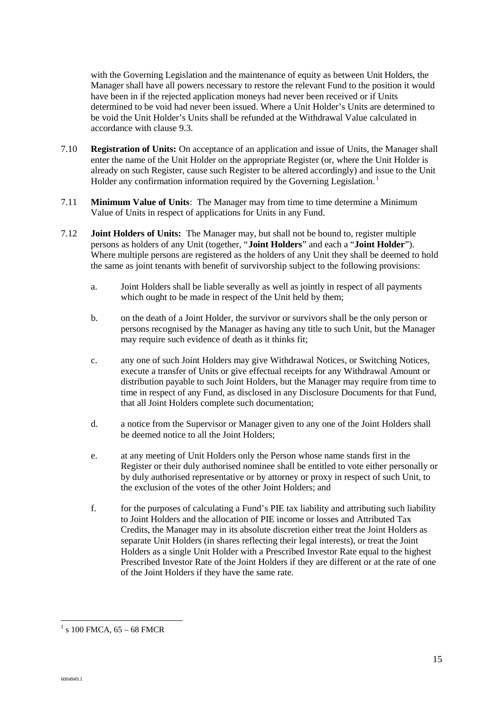with the Governing Legislation and the maintenance of equity as between Unit Holders, the Manager shall have all powers necessary to restore the relevant Fund to the position it would have been in if the rejected application moneys had never been received or if Units determined to be void had never been issued. Where a Unit Holder's Units are determined to be void the Unit Holder's Units shall be refunded at the Withdrawal Value calculated in accordance with clause 9.3.

- 7.10 **Registration of Units:** On acceptance of an application and issue of Units, the Manager shall enter the name of the Unit Holder on the appropriate Register (or, where the Unit Holder is already on such Register, cause such Register to be altered accordingly) and issue to the Unit Holder any confirmation information required by the Governing Legislation.<sup>1</sup>
- 7.11 **Minimum Value of Units**: The Manager may from time to time determine a Minimum Value of Units in respect of applications for Units in any Fund.
- 7.12 **Joint Holders of Units:** The Manager may, but shall not be bound to, register multiple persons as holders of any Unit (together, "**Joint Holders**" and each a "**Joint Holder**"). Where multiple persons are registered as the holders of any Unit they shall be deemed to hold the same as joint tenants with benefit of survivorship subject to the following provisions:
	- a. Joint Holders shall be liable severally as well as jointly in respect of all payments which ought to be made in respect of the Unit held by them;
	- b. on the death of a Joint Holder, the survivor or survivors shall be the only person or persons recognised by the Manager as having any title to such Unit, but the Manager may require such evidence of death as it thinks fit;
	- c. any one of such Joint Holders may give Withdrawal Notices, or Switching Notices, execute a transfer of Units or give effectual receipts for any Withdrawal Amount or distribution payable to such Joint Holders, but the Manager may require from time to time in respect of any Fund, as disclosed in any Disclosure Documents for that Fund, that all Joint Holders complete such documentation;
	- d. a notice from the Supervisor or Manager given to any one of the Joint Holders shall be deemed notice to all the Joint Holders;
	- e. at any meeting of Unit Holders only the Person whose name stands first in the Register or their duly authorised nominee shall be entitled to vote either personally or by duly authorised representative or by attorney or proxy in respect of such Unit, to the exclusion of the votes of the other Joint Holders; and
	- f. for the purposes of calculating a Fund's PIE tax liability and attributing such liability to Joint Holders and the allocation of PIE income or losses and Attributed Tax Credits, the Manager may in its absolute discretion either treat the Joint Holders as separate Unit Holders (in shares reflecting their legal interests), or treat the Joint Holders as a single Unit Holder with a Prescribed Investor Rate equal to the highest Prescribed Investor Rate of the Joint Holders if they are different or at the rate of one of the Joint Holders if they have the same rate.

 $\overline{a}$ 

 $1$  s 100 FMCA, 65 – 68 FMCR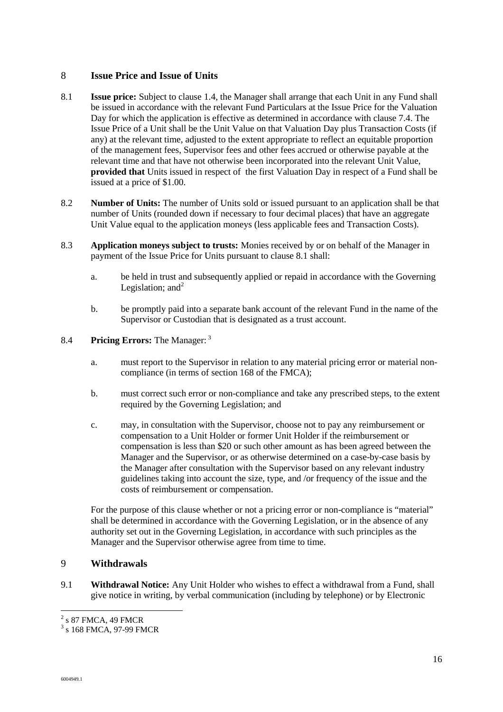#### 8 **Issue Price and Issue of Units**

- 8.1 **Issue price:** Subject to clause 1.4, the Manager shall arrange that each Unit in any Fund shall be issued in accordance with the relevant Fund Particulars at the Issue Price for the Valuation Day for which the application is effective as determined in accordance with clause 7.4. The Issue Price of a Unit shall be the Unit Value on that Valuation Day plus Transaction Costs (if any) at the relevant time, adjusted to the extent appropriate to reflect an equitable proportion of the management fees, Supervisor fees and other fees accrued or otherwise payable at the relevant time and that have not otherwise been incorporated into the relevant Unit Value, **provided that** Units issued in respect of the first Valuation Day in respect of a Fund shall be issued at a price of \$1.00.
- 8.2 **Number of Units:** The number of Units sold or issued pursuant to an application shall be that number of Units (rounded down if necessary to four decimal places) that have an aggregate Unit Value equal to the application moneys (less applicable fees and Transaction Costs).
- 8.3 **Application moneys subject to trusts:** Monies received by or on behalf of the Manager in payment of the Issue Price for Units pursuant to clause 8.1 shall:
	- a. be held in trust and subsequently applied or repaid in accordance with the Governing Legislation; and  $2^2$
	- b. be promptly paid into a separate bank account of the relevant Fund in the name of the Supervisor or Custodian that is designated as a trust account.

#### 8.4 **Pricing Errors:** The Manager: <sup>3</sup>

- a. must report to the Supervisor in relation to any material pricing error or material noncompliance (in terms of section 168 of the FMCA);
- b. must correct such error or non-compliance and take any prescribed steps, to the extent required by the Governing Legislation; and
- c. may, in consultation with the Supervisor, choose not to pay any reimbursement or compensation to a Unit Holder or former Unit Holder if the reimbursement or compensation is less than \$20 or such other amount as has been agreed between the Manager and the Supervisor, or as otherwise determined on a case-by-case basis by the Manager after consultation with the Supervisor based on any relevant industry guidelines taking into account the size, type, and /or frequency of the issue and the costs of reimbursement or compensation.

For the purpose of this clause whether or not a pricing error or non-compliance is "material" shall be determined in accordance with the Governing Legislation, or in the absence of any authority set out in the Governing Legislation, in accordance with such principles as the Manager and the Supervisor otherwise agree from time to time.

#### 9 **Withdrawals**

9.1 **Withdrawal Notice:** Any Unit Holder who wishes to effect a withdrawal from a Fund, shall give notice in writing, by verbal communication (including by telephone) or by Electronic

<sup>&</sup>lt;sup>2</sup> s 87 FMCA, 49 FMCR

<sup>3</sup> s 168 FMCA, 97-99 FMCR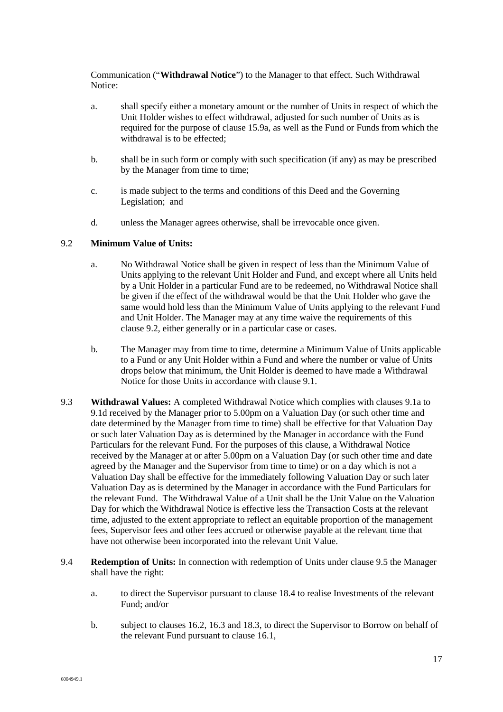Communication ("**Withdrawal Notice**") to the Manager to that effect. Such Withdrawal Notice:

- a. shall specify either a monetary amount or the number of Units in respect of which the Unit Holder wishes to effect withdrawal, adjusted for such number of Units as is required for the purpose of clause 15.9a, as well as the Fund or Funds from which the withdrawal is to be effected;
- b. shall be in such form or comply with such specification (if any) as may be prescribed by the Manager from time to time;
- c. is made subject to the terms and conditions of this Deed and the Governing Legislation; and
- d. unless the Manager agrees otherwise, shall be irrevocable once given.

#### 9.2 **Minimum Value of Units:**

- a. No Withdrawal Notice shall be given in respect of less than the Minimum Value of Units applying to the relevant Unit Holder and Fund, and except where all Units held by a Unit Holder in a particular Fund are to be redeemed, no Withdrawal Notice shall be given if the effect of the withdrawal would be that the Unit Holder who gave the same would hold less than the Minimum Value of Units applying to the relevant Fund and Unit Holder. The Manager may at any time waive the requirements of this clause 9.2, either generally or in a particular case or cases.
- b. The Manager may from time to time, determine a Minimum Value of Units applicable to a Fund or any Unit Holder within a Fund and where the number or value of Units drops below that minimum, the Unit Holder is deemed to have made a Withdrawal Notice for those Units in accordance with clause 9.1.
- 9.3 **Withdrawal Values:** A completed Withdrawal Notice which complies with clauses 9.1a to 9.1d received by the Manager prior to 5.00pm on a Valuation Day (or such other time and date determined by the Manager from time to time) shall be effective for that Valuation Day or such later Valuation Day as is determined by the Manager in accordance with the Fund Particulars for the relevant Fund. For the purposes of this clause, a Withdrawal Notice received by the Manager at or after 5.00pm on a Valuation Day (or such other time and date agreed by the Manager and the Supervisor from time to time) or on a day which is not a Valuation Day shall be effective for the immediately following Valuation Day or such later Valuation Day as is determined by the Manager in accordance with the Fund Particulars for the relevant Fund. The Withdrawal Value of a Unit shall be the Unit Value on the Valuation Day for which the Withdrawal Notice is effective less the Transaction Costs at the relevant time, adjusted to the extent appropriate to reflect an equitable proportion of the management fees, Supervisor fees and other fees accrued or otherwise payable at the relevant time that have not otherwise been incorporated into the relevant Unit Value.
- 9.4 **Redemption of Units:** In connection with redemption of Units under clause 9.5 the Manager shall have the right:
	- a. to direct the Supervisor pursuant to clause 18.4 to realise Investments of the relevant Fund; and/or
	- b. subject to clauses 16.2, 16.3 and 18.3, to direct the Supervisor to Borrow on behalf of the relevant Fund pursuant to clause 16.1,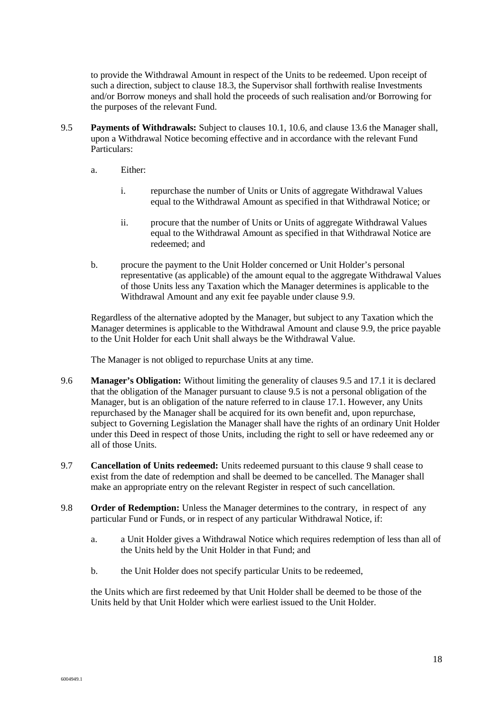to provide the Withdrawal Amount in respect of the Units to be redeemed. Upon receipt of such a direction, subject to clause 18.3, the Supervisor shall forthwith realise Investments and/or Borrow moneys and shall hold the proceeds of such realisation and/or Borrowing for the purposes of the relevant Fund.

- 9.5 **Payments of Withdrawals:** Subject to clauses 10.1, 10.6, and clause 13.6 the Manager shall, upon a Withdrawal Notice becoming effective and in accordance with the relevant Fund Particulars:
	- a. Either:
		- i. repurchase the number of Units or Units of aggregate Withdrawal Values equal to the Withdrawal Amount as specified in that Withdrawal Notice; or
		- ii. procure that the number of Units or Units of aggregate Withdrawal Values equal to the Withdrawal Amount as specified in that Withdrawal Notice are redeemed; and
	- b. procure the payment to the Unit Holder concerned or Unit Holder's personal representative (as applicable) of the amount equal to the aggregate Withdrawal Values of those Units less any Taxation which the Manager determines is applicable to the Withdrawal Amount and any exit fee payable under clause 9.9.

Regardless of the alternative adopted by the Manager, but subject to any Taxation which the Manager determines is applicable to the Withdrawal Amount and clause 9.9, the price payable to the Unit Holder for each Unit shall always be the Withdrawal Value.

The Manager is not obliged to repurchase Units at any time.

- 9.6 **Manager's Obligation:** Without limiting the generality of clauses 9.5 and 17.1 it is declared that the obligation of the Manager pursuant to clause 9.5 is not a personal obligation of the Manager, but is an obligation of the nature referred to in clause 17.1. However, any Units repurchased by the Manager shall be acquired for its own benefit and, upon repurchase, subject to Governing Legislation the Manager shall have the rights of an ordinary Unit Holder under this Deed in respect of those Units, including the right to sell or have redeemed any or all of those Units.
- 9.7 **Cancellation of Units redeemed:** Units redeemed pursuant to this clause 9 shall cease to exist from the date of redemption and shall be deemed to be cancelled. The Manager shall make an appropriate entry on the relevant Register in respect of such cancellation.
- 9.8 **Order of Redemption:** Unless the Manager determines to the contrary, in respect of any particular Fund or Funds, or in respect of any particular Withdrawal Notice, if:
	- a. a Unit Holder gives a Withdrawal Notice which requires redemption of less than all of the Units held by the Unit Holder in that Fund; and
	- b. the Unit Holder does not specify particular Units to be redeemed,

the Units which are first redeemed by that Unit Holder shall be deemed to be those of the Units held by that Unit Holder which were earliest issued to the Unit Holder.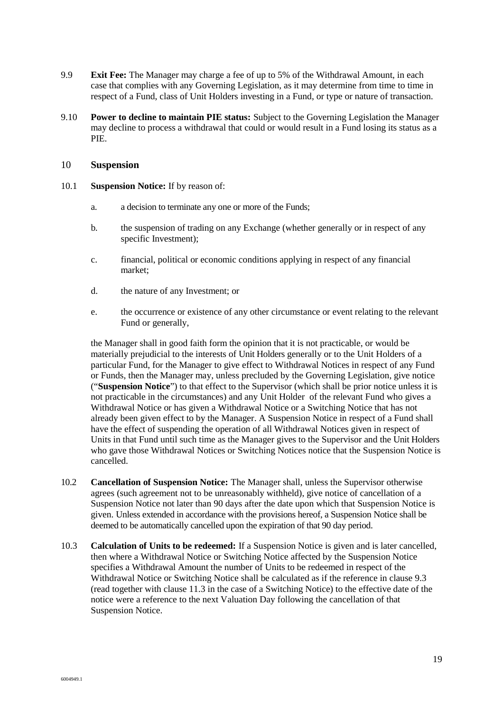- 9.9 **Exit Fee:** The Manager may charge a fee of up to 5% of the Withdrawal Amount, in each case that complies with any Governing Legislation, as it may determine from time to time in respect of a Fund, class of Unit Holders investing in a Fund, or type or nature of transaction.
- 9.10 **Power to decline to maintain PIE status:** Subject to the Governing Legislation the Manager may decline to process a withdrawal that could or would result in a Fund losing its status as a PIE.

#### 10 **Suspension**

- 10.1 **Suspension Notice:** If by reason of:
	- a. a decision to terminate any one or more of the Funds;
	- b. the suspension of trading on any Exchange (whether generally or in respect of any specific Investment);
	- c. financial, political or economic conditions applying in respect of any financial market;
	- d. the nature of any Investment; or
	- e. the occurrence or existence of any other circumstance or event relating to the relevant Fund or generally,

the Manager shall in good faith form the opinion that it is not practicable, or would be materially prejudicial to the interests of Unit Holders generally or to the Unit Holders of a particular Fund, for the Manager to give effect to Withdrawal Notices in respect of any Fund or Funds, then the Manager may, unless precluded by the Governing Legislation, give notice ("**Suspension Notice**") to that effect to the Supervisor (which shall be prior notice unless it is not practicable in the circumstances) and any Unit Holder of the relevant Fund who gives a Withdrawal Notice or has given a Withdrawal Notice or a Switching Notice that has not already been given effect to by the Manager. A Suspension Notice in respect of a Fund shall have the effect of suspending the operation of all Withdrawal Notices given in respect of Units in that Fund until such time as the Manager gives to the Supervisor and the Unit Holders who gave those Withdrawal Notices or Switching Notices notice that the Suspension Notice is cancelled.

- 10.2 **Cancellation of Suspension Notice:** The Manager shall, unless the Supervisor otherwise agrees (such agreement not to be unreasonably withheld), give notice of cancellation of a Suspension Notice not later than 90 days after the date upon which that Suspension Notice is given. Unless extended in accordance with the provisions hereof, a Suspension Notice shall be deemed to be automatically cancelled upon the expiration of that 90 day period.
- 10.3 **Calculation of Units to be redeemed:** If a Suspension Notice is given and is later cancelled, then where a Withdrawal Notice or Switching Notice affected by the Suspension Notice specifies a Withdrawal Amount the number of Units to be redeemed in respect of the Withdrawal Notice or Switching Notice shall be calculated as if the reference in clause 9.3 (read together with clause 11.3 in the case of a Switching Notice) to the effective date of the notice were a reference to the next Valuation Day following the cancellation of that Suspension Notice.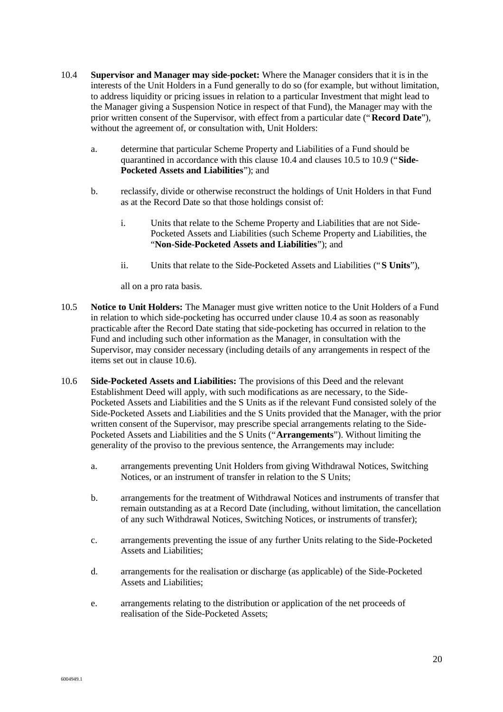- 10.4 **Supervisor and Manager may side-pocket:** Where the Manager considers that it is in the interests of the Unit Holders in a Fund generally to do so (for example, but without limitation, to address liquidity or pricing issues in relation to a particular Investment that might lead to the Manager giving a Suspension Notice in respect of that Fund), the Manager may with the prior written consent of the Supervisor, with effect from a particular date ("**Record Date**"), without the agreement of, or consultation with, Unit Holders:
	- a. determine that particular Scheme Property and Liabilities of a Fund should be quarantined in accordance with this clause 10.4 and clauses 10.5 to 10.9 ("**Side-Pocketed Assets and Liabilities**"); and
	- b. reclassify, divide or otherwise reconstruct the holdings of Unit Holders in that Fund as at the Record Date so that those holdings consist of:
		- i. Units that relate to the Scheme Property and Liabilities that are not Side-Pocketed Assets and Liabilities (such Scheme Property and Liabilities, the "**Non-Side-Pocketed Assets and Liabilities**"); and
		- ii. Units that relate to the Side-Pocketed Assets and Liabilities ("**S Units**"),

all on a pro rata basis.

- 10.5 **Notice to Unit Holders:** The Manager must give written notice to the Unit Holders of a Fund in relation to which side-pocketing has occurred under clause 10.4 as soon as reasonably practicable after the Record Date stating that side-pocketing has occurred in relation to the Fund and including such other information as the Manager, in consultation with the Supervisor, may consider necessary (including details of any arrangements in respect of the items set out in clause 10.6).
- 10.6 **Side-Pocketed Assets and Liabilities:** The provisions of this Deed and the relevant Establishment Deed will apply, with such modifications as are necessary, to the Side-Pocketed Assets and Liabilities and the S Units as if the relevant Fund consisted solely of the Side-Pocketed Assets and Liabilities and the S Units provided that the Manager, with the prior written consent of the Supervisor, may prescribe special arrangements relating to the Side-Pocketed Assets and Liabilities and the S Units ("**Arrangements**"). Without limiting the generality of the proviso to the previous sentence, the Arrangements may include:
	- a. arrangements preventing Unit Holders from giving Withdrawal Notices, Switching Notices, or an instrument of transfer in relation to the S Units;
	- b. arrangements for the treatment of Withdrawal Notices and instruments of transfer that remain outstanding as at a Record Date (including, without limitation, the cancellation of any such Withdrawal Notices, Switching Notices, or instruments of transfer);
	- c. arrangements preventing the issue of any further Units relating to the Side-Pocketed Assets and Liabilities;
	- d. arrangements for the realisation or discharge (as applicable) of the Side-Pocketed Assets and Liabilities;
	- e. arrangements relating to the distribution or application of the net proceeds of realisation of the Side-Pocketed Assets;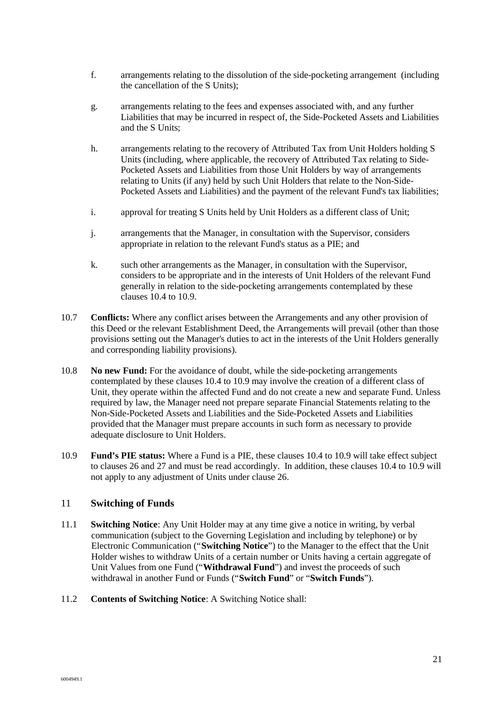- f. arrangements relating to the dissolution of the side-pocketing arrangement (including the cancellation of the S Units);
- g. arrangements relating to the fees and expenses associated with, and any further Liabilities that may be incurred in respect of, the Side-Pocketed Assets and Liabilities and the S Units;
- h. arrangements relating to the recovery of Attributed Tax from Unit Holders holding S Units (including, where applicable, the recovery of Attributed Tax relating to Side-Pocketed Assets and Liabilities from those Unit Holders by way of arrangements relating to Units (if any) held by such Unit Holders that relate to the Non-Side-Pocketed Assets and Liabilities) and the payment of the relevant Fund's tax liabilities;
- i. approval for treating S Units held by Unit Holders as a different class of Unit;
- j. arrangements that the Manager, in consultation with the Supervisor, considers appropriate in relation to the relevant Fund's status as a PIE; and
- k. such other arrangements as the Manager, in consultation with the Supervisor, considers to be appropriate and in the interests of Unit Holders of the relevant Fund generally in relation to the side-pocketing arrangements contemplated by these clauses 10.4 to 10.9.
- 10.7 **Conflicts:** Where any conflict arises between the Arrangements and any other provision of this Deed or the relevant Establishment Deed, the Arrangements will prevail (other than those provisions setting out the Manager's duties to act in the interests of the Unit Holders generally and corresponding liability provisions).
- 10.8 **No new Fund:** For the avoidance of doubt, while the side-pocketing arrangements contemplated by these clauses 10.4 to 10.9 may involve the creation of a different class of Unit, they operate within the affected Fund and do not create a new and separate Fund. Unless required by law, the Manager need not prepare separate Financial Statements relating to the Non-Side-Pocketed Assets and Liabilities and the Side-Pocketed Assets and Liabilities provided that the Manager must prepare accounts in such form as necessary to provide adequate disclosure to Unit Holders.
- 10.9 **Fund's PIE status:** Where a Fund is a PIE, these clauses 10.4 to 10.9 will take effect subject to clauses 26 and 27 and must be read accordingly. In addition, these clauses 10.4 to 10.9 will not apply to any adjustment of Units under clause 26.

#### 11 **Switching of Funds**

- 11.1 **Switching Notice**: Any Unit Holder may at any time give a notice in writing, by verbal communication (subject to the Governing Legislation and including by telephone) or by Electronic Communication ("**Switching Notice**") to the Manager to the effect that the Unit Holder wishes to withdraw Units of a certain number or Units having a certain aggregate of Unit Values from one Fund ("**Withdrawal Fund**") and invest the proceeds of such withdrawal in another Fund or Funds ("**Switch Fund**" or "**Switch Funds**").
- 11.2 **Contents of Switching Notice**: A Switching Notice shall: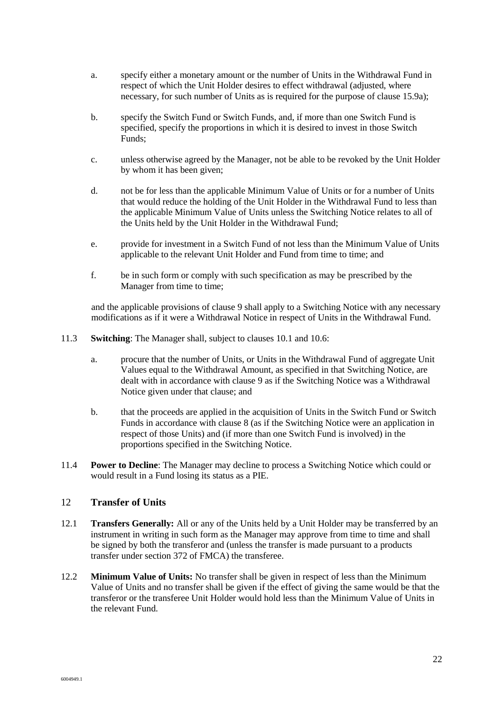- a. specify either a monetary amount or the number of Units in the Withdrawal Fund in respect of which the Unit Holder desires to effect withdrawal (adjusted, where necessary, for such number of Units as is required for the purpose of clause 15.9a);
- b. specify the Switch Fund or Switch Funds, and, if more than one Switch Fund is specified, specify the proportions in which it is desired to invest in those Switch Funds;
- c. unless otherwise agreed by the Manager, not be able to be revoked by the Unit Holder by whom it has been given;
- d. not be for less than the applicable Minimum Value of Units or for a number of Units that would reduce the holding of the Unit Holder in the Withdrawal Fund to less than the applicable Minimum Value of Units unless the Switching Notice relates to all of the Units held by the Unit Holder in the Withdrawal Fund;
- e. provide for investment in a Switch Fund of not less than the Minimum Value of Units applicable to the relevant Unit Holder and Fund from time to time; and
- f. be in such form or comply with such specification as may be prescribed by the Manager from time to time;

and the applicable provisions of clause 9 shall apply to a Switching Notice with any necessary modifications as if it were a Withdrawal Notice in respect of Units in the Withdrawal Fund.

- 11.3 **Switching**: The Manager shall, subject to clauses 10.1 and 10.6:
	- a. procure that the number of Units, or Units in the Withdrawal Fund of aggregate Unit Values equal to the Withdrawal Amount, as specified in that Switching Notice, are dealt with in accordance with clause 9 as if the Switching Notice was a Withdrawal Notice given under that clause; and
	- b. that the proceeds are applied in the acquisition of Units in the Switch Fund or Switch Funds in accordance with clause 8 (as if the Switching Notice were an application in respect of those Units) and (if more than one Switch Fund is involved) in the proportions specified in the Switching Notice.
- 11.4 **Power to Decline**: The Manager may decline to process a Switching Notice which could or would result in a Fund losing its status as a PIE.

#### 12 **Transfer of Units**

- 12.1 **Transfers Generally:** All or any of the Units held by a Unit Holder may be transferred by an instrument in writing in such form as the Manager may approve from time to time and shall be signed by both the transferor and (unless the transfer is made pursuant to a products transfer under section 372 of FMCA) the transferee.
- 12.2 **Minimum Value of Units:** No transfer shall be given in respect of less than the Minimum Value of Units and no transfer shall be given if the effect of giving the same would be that the transferor or the transferee Unit Holder would hold less than the Minimum Value of Units in the relevant Fund.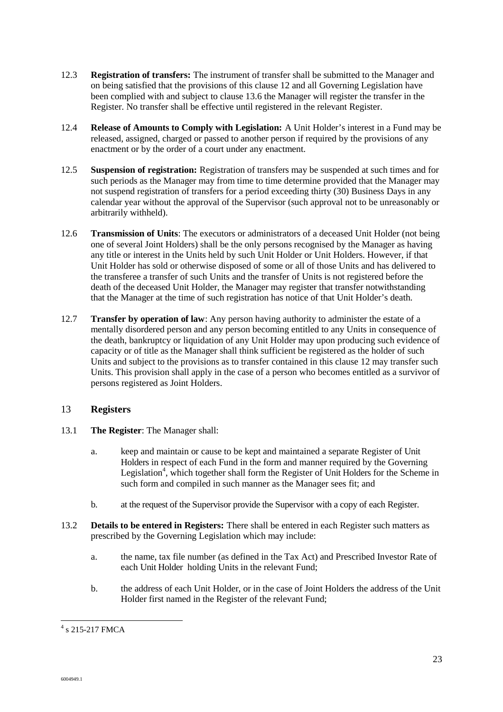- 12.3 **Registration of transfers:** The instrument of transfer shall be submitted to the Manager and on being satisfied that the provisions of this clause 12 and all Governing Legislation have been complied with and subject to clause 13.6 the Manager will register the transfer in the Register. No transfer shall be effective until registered in the relevant Register.
- 12.4 **Release of Amounts to Comply with Legislation:** A Unit Holder's interest in a Fund may be released, assigned, charged or passed to another person if required by the provisions of any enactment or by the order of a court under any enactment.
- 12.5 **Suspension of registration:** Registration of transfers may be suspended at such times and for such periods as the Manager may from time to time determine provided that the Manager may not suspend registration of transfers for a period exceeding thirty (30) Business Days in any calendar year without the approval of the Supervisor (such approval not to be unreasonably or arbitrarily withheld).
- 12.6 **Transmission of Units**: The executors or administrators of a deceased Unit Holder (not being one of several Joint Holders) shall be the only persons recognised by the Manager as having any title or interest in the Units held by such Unit Holder or Unit Holders. However, if that Unit Holder has sold or otherwise disposed of some or all of those Units and has delivered to the transferee a transfer of such Units and the transfer of Units is not registered before the death of the deceased Unit Holder, the Manager may register that transfer notwithstanding that the Manager at the time of such registration has notice of that Unit Holder's death.
- 12.7 **Transfer by operation of law**: Any person having authority to administer the estate of a mentally disordered person and any person becoming entitled to any Units in consequence of the death, bankruptcy or liquidation of any Unit Holder may upon producing such evidence of capacity or of title as the Manager shall think sufficient be registered as the holder of such Units and subject to the provisions as to transfer contained in this clause 12 may transfer such Units. This provision shall apply in the case of a person who becomes entitled as a survivor of persons registered as Joint Holders.

#### 13 **Registers**

- 13.1 **The Register**: The Manager shall:
	- a. keep and maintain or cause to be kept and maintained a separate Register of Unit Holders in respect of each Fund in the form and manner required by the Governing Legislation<sup>4</sup>, which together shall form the Register of Unit Holders for the Scheme in such form and compiled in such manner as the Manager sees fit; and
	- b. at the request of the Supervisor provide the Supervisor with a copy of each Register.
- 13.2 **Details to be entered in Registers:** There shall be entered in each Register such matters as prescribed by the Governing Legislation which may include:
	- a. the name, tax file number (as defined in the Tax Act) and Prescribed Investor Rate of each Unit Holder holding Units in the relevant Fund;
	- b. the address of each Unit Holder, or in the case of Joint Holders the address of the Unit Holder first named in the Register of the relevant Fund;

<sup>&</sup>lt;sup>4</sup> s 215-217 FMCA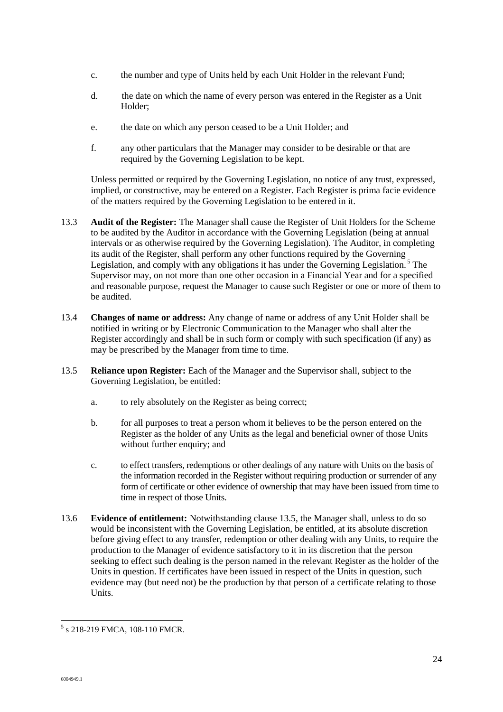- c. the number and type of Units held by each Unit Holder in the relevant Fund;
- d. the date on which the name of every person was entered in the Register as a Unit Holder;
- e. the date on which any person ceased to be a Unit Holder; and
- f. any other particulars that the Manager may consider to be desirable or that are required by the Governing Legislation to be kept.

Unless permitted or required by the Governing Legislation, no notice of any trust, expressed, implied, or constructive, may be entered on a Register. Each Register is prima facie evidence of the matters required by the Governing Legislation to be entered in it.

- 13.3 **Audit of the Register:** The Manager shall cause the Register of Unit Holders for the Scheme to be audited by the Auditor in accordance with the Governing Legislation (being at annual intervals or as otherwise required by the Governing Legislation). The Auditor, in completing its audit of the Register, shall perform any other functions required by the Governing Legislation, and comply with any obligations it has under the Governing Legislation.<sup>5</sup> The Supervisor may, on not more than one other occasion in a Financial Year and for a specified and reasonable purpose, request the Manager to cause such Register or one or more of them to be audited.
- 13.4 **Changes of name or address:** Any change of name or address of any Unit Holder shall be notified in writing or by Electronic Communication to the Manager who shall alter the Register accordingly and shall be in such form or comply with such specification (if any) as may be prescribed by the Manager from time to time.
- 13.5 **Reliance upon Register:** Each of the Manager and the Supervisor shall, subject to the Governing Legislation, be entitled:
	- a. to rely absolutely on the Register as being correct;
	- b. for all purposes to treat a person whom it believes to be the person entered on the Register as the holder of any Units as the legal and beneficial owner of those Units without further enquiry; and
	- c. to effect transfers, redemptions or other dealings of any nature with Units on the basis of the information recorded in the Register without requiring production or surrender of any form of certificate or other evidence of ownership that may have been issued from time to time in respect of those Units.
- 13.6 **Evidence of entitlement:** Notwithstanding clause 13.5, the Manager shall, unless to do so would be inconsistent with the Governing Legislation, be entitled, at its absolute discretion before giving effect to any transfer, redemption or other dealing with any Units, to require the production to the Manager of evidence satisfactory to it in its discretion that the person seeking to effect such dealing is the person named in the relevant Register as the holder of the Units in question. If certificates have been issued in respect of the Units in question, such evidence may (but need not) be the production by that person of a certificate relating to those Units.

 $\overline{a}$ 5 s 218-219 FMCA, 108-110 FMCR.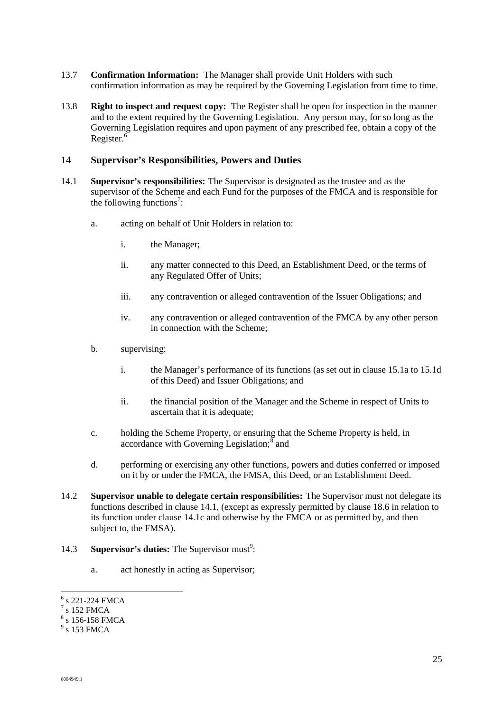- 13.7 **Confirmation Information:** The Manager shall provide Unit Holders with such confirmation information as may be required by the Governing Legislation from time to time.
- 13.8 **Right to inspect and request copy:** The Register shall be open for inspection in the manner and to the extent required by the Governing Legislation. Any person may, for so long as the Governing Legislation requires and upon payment of any prescribed fee, obtain a copy of the Register. $6$

#### 14 **Supervisor's Responsibilities, Powers and Duties**

- 14.1 **Supervisor's responsibilities:** The Supervisor is designated as the trustee and as the supervisor of the Scheme and each Fund for the purposes of the FMCA and is responsible for the following functions<sup>7</sup>:
	- a. acting on behalf of Unit Holders in relation to:
		- i. the Manager;
		- ii. any matter connected to this Deed, an Establishment Deed, or the terms of any Regulated Offer of Units;
		- iii. any contravention or alleged contravention of the Issuer Obligations; and
		- iv. any contravention or alleged contravention of the FMCA by any other person in connection with the Scheme;
	- b. supervising:
		- i. the Manager's performance of its functions (as set out in clause 15.1a to 15.1d of this Deed) and Issuer Obligations; and
		- ii. the financial position of the Manager and the Scheme in respect of Units to ascertain that it is adequate;
	- c. holding the Scheme Property, or ensuring that the Scheme Property is held, in accordance with Governing Legislation; $\frac{8}{3}$  and
	- d. performing or exercising any other functions, powers and duties conferred or imposed on it by or under the FMCA, the FMSA, this Deed, or an Establishment Deed.
- 14.2 **Supervisor unable to delegate certain responsibilities:** The Supervisor must not delegate its functions described in clause 14.1, (except as expressly permitted by clause 18.6 in relation to its function under clause 14.1c and otherwise by the FMCA or as permitted by, and then subject to, the FMSA).
- 14.3 **Supervisor's duties:** The Supervisor must<sup>9</sup>:
	- a. act honestly in acting as Supervisor;

l

 $<sup>6</sup>$  s 221-224 FMCA</sup>

 $7$  s 152 FMCA

 $8$  s 156-158 FMCA

 $9$  s 153 FMCA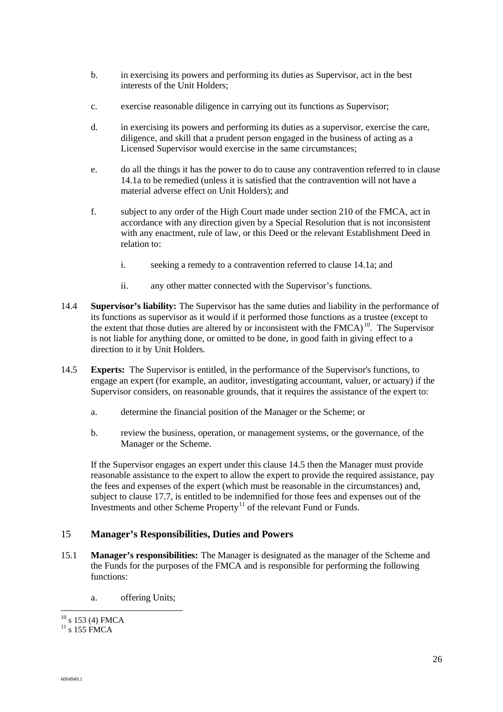- b. in exercising its powers and performing its duties as Supervisor, act in the best interests of the Unit Holders;
- c. exercise reasonable diligence in carrying out its functions as Supervisor;
- d. in exercising its powers and performing its duties as a supervisor, exercise the care, diligence, and skill that a prudent person engaged in the business of acting as a Licensed Supervisor would exercise in the same circumstances;
- e. do all the things it has the power to do to cause any contravention referred to in clause 14.1a to be remedied (unless it is satisfied that the contravention will not have a material adverse effect on Unit Holders); and
- f. subject to any order of the High Court made under section 210 of the FMCA, act in accordance with any direction given by a Special Resolution that is not inconsistent with any enactment, rule of law, or this Deed or the relevant Establishment Deed in relation to:
	- i. seeking a remedy to a contravention referred to clause 14.1a; and
	- ii. any other matter connected with the Supervisor's functions.
- 14.4 **Supervisor's liability:** The Supervisor has the same duties and liability in the performance of its functions as supervisor as it would if it performed those functions as a trustee (except to the extent that those duties are altered by or inconsistent with the  $F M C A$ <sup>10</sup>. The Supervisor is not liable for anything done, or omitted to be done, in good faith in giving effect to a direction to it by Unit Holders.
- 14.5 **Experts:** The Supervisor is entitled, in the performance of the Supervisor's functions, to engage an expert (for example, an auditor, investigating accountant, valuer, or actuary) if the Supervisor considers, on reasonable grounds, that it requires the assistance of the expert to:
	- a. determine the financial position of the Manager or the Scheme; or
	- b. review the business, operation, or management systems, or the governance, of the Manager or the Scheme.

If the Supervisor engages an expert under this clause 14.5 then the Manager must provide reasonable assistance to the expert to allow the expert to provide the required assistance, pay the fees and expenses of the expert (which must be reasonable in the circumstances) and, subject to clause 17.7, is entitled to be indemnified for those fees and expenses out of the Investments and other Scheme Property<sup>11</sup> of the relevant Fund or Funds.

#### 15 **Manager's Responsibilities, Duties and Powers**

- 15.1 **Manager's responsibilities:** The Manager is designated as the manager of the Scheme and the Funds for the purposes of the FMCA and is responsible for performing the following functions:
	- a. offering Units;

l  $10$  s 153 (4) FMCA

 $^{11}$  s 155 FMCA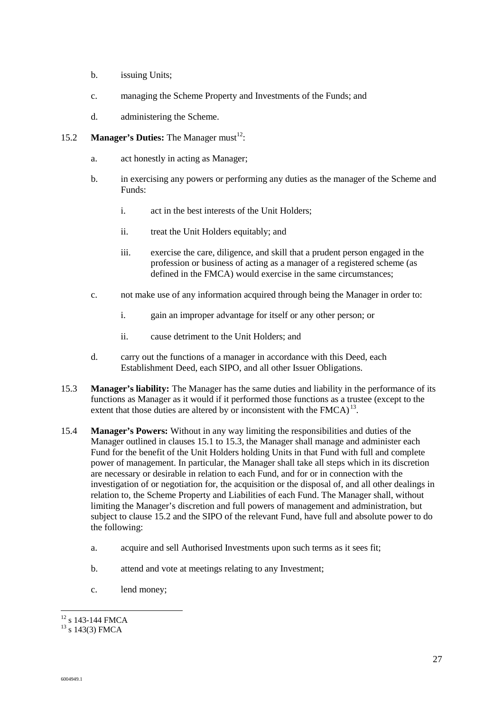- b. issuing Units;
- c. managing the Scheme Property and Investments of the Funds; and
- d. administering the Scheme.

#### 15.2 **Manager's Duties:** The Manager must<sup>12</sup>:

- a. act honestly in acting as Manager;
- b. in exercising any powers or performing any duties as the manager of the Scheme and Funds:
	- i. act in the best interests of the Unit Holders;
	- ii. treat the Unit Holders equitably; and
	- iii. exercise the care, diligence, and skill that a prudent person engaged in the profession or business of acting as a manager of a registered scheme (as defined in the FMCA) would exercise in the same circumstances;
- c. not make use of any information acquired through being the Manager in order to:
	- i. gain an improper advantage for itself or any other person; or
	- ii. cause detriment to the Unit Holders; and
- d. carry out the functions of a manager in accordance with this Deed, each Establishment Deed, each SIPO, and all other Issuer Obligations.
- 15.3 **Manager's liability:** The Manager has the same duties and liability in the performance of its functions as Manager as it would if it performed those functions as a trustee (except to the extent that those duties are altered by or inconsistent with the  $F MCA$ <sup>13</sup>.
- 15.4 **Manager's Powers:** Without in any way limiting the responsibilities and duties of the Manager outlined in clauses 15.1 to 15.3, the Manager shall manage and administer each Fund for the benefit of the Unit Holders holding Units in that Fund with full and complete power of management. In particular, the Manager shall take all steps which in its discretion are necessary or desirable in relation to each Fund, and for or in connection with the investigation of or negotiation for, the acquisition or the disposal of, and all other dealings in relation to, the Scheme Property and Liabilities of each Fund. The Manager shall, without limiting the Manager's discretion and full powers of management and administration, but subject to clause 15.2 and the SIPO of the relevant Fund, have full and absolute power to do the following:
	- a. acquire and sell Authorised Investments upon such terms as it sees fit;
	- b. attend and vote at meetings relating to any Investment;
	- c. lend money;

l  $12$  s 143-144 FMCA

<sup>&</sup>lt;sup>13</sup> s 143(3) FMCA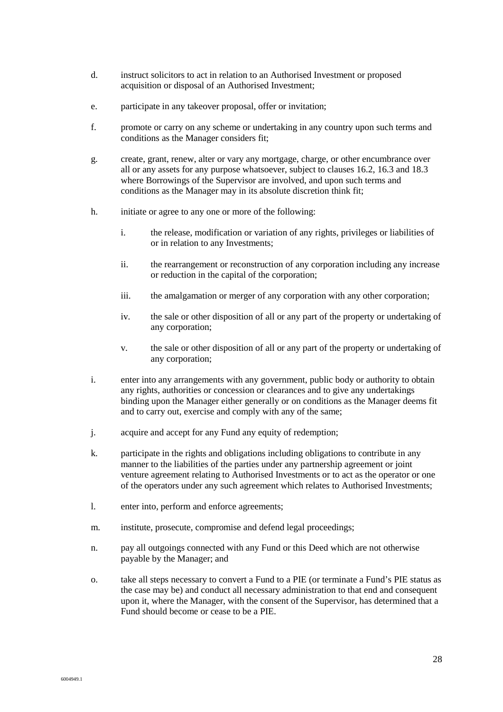- d. instruct solicitors to act in relation to an Authorised Investment or proposed acquisition or disposal of an Authorised Investment;
- e. participate in any takeover proposal, offer or invitation;
- f. promote or carry on any scheme or undertaking in any country upon such terms and conditions as the Manager considers fit;
- g. create, grant, renew, alter or vary any mortgage, charge, or other encumbrance over all or any assets for any purpose whatsoever, subject to clauses 16.2, 16.3 and 18.3 where Borrowings of the Supervisor are involved, and upon such terms and conditions as the Manager may in its absolute discretion think fit;
- h. initiate or agree to any one or more of the following:
	- i. the release, modification or variation of any rights, privileges or liabilities of or in relation to any Investments;
	- ii. the rearrangement or reconstruction of any corporation including any increase or reduction in the capital of the corporation;
	- iii. the amalgamation or merger of any corporation with any other corporation;
	- iv. the sale or other disposition of all or any part of the property or undertaking of any corporation;
	- v. the sale or other disposition of all or any part of the property or undertaking of any corporation;
- i. enter into any arrangements with any government, public body or authority to obtain any rights, authorities or concession or clearances and to give any undertakings binding upon the Manager either generally or on conditions as the Manager deems fit and to carry out, exercise and comply with any of the same;
- j. acquire and accept for any Fund any equity of redemption;
- k. participate in the rights and obligations including obligations to contribute in any manner to the liabilities of the parties under any partnership agreement or joint venture agreement relating to Authorised Investments or to act as the operator or one of the operators under any such agreement which relates to Authorised Investments;
- l. enter into, perform and enforce agreements;
- m. institute, prosecute, compromise and defend legal proceedings;
- n. pay all outgoings connected with any Fund or this Deed which are not otherwise payable by the Manager; and
- o. take all steps necessary to convert a Fund to a PIE (or terminate a Fund's PIE status as the case may be) and conduct all necessary administration to that end and consequent upon it, where the Manager, with the consent of the Supervisor, has determined that a Fund should become or cease to be a PIE.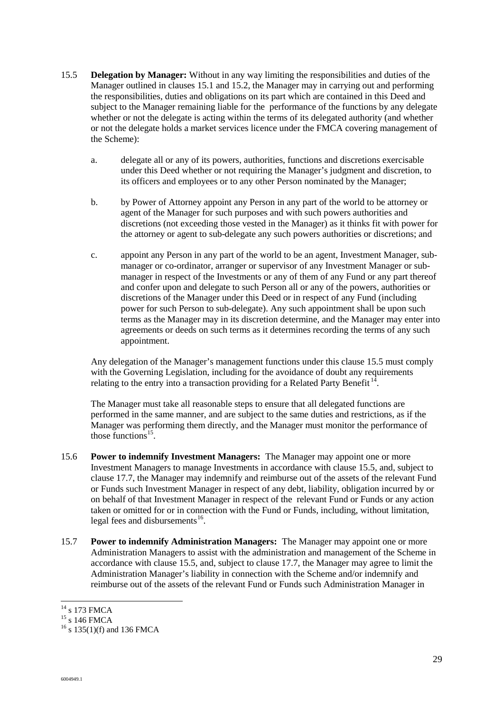- 15.5 **Delegation by Manager:** Without in any way limiting the responsibilities and duties of the Manager outlined in clauses 15.1 and 15.2, the Manager may in carrying out and performing the responsibilities, duties and obligations on its part which are contained in this Deed and subject to the Manager remaining liable for the performance of the functions by any delegate whether or not the delegate is acting within the terms of its delegated authority (and whether or not the delegate holds a market services licence under the FMCA covering management of the Scheme):
	- a. delegate all or any of its powers, authorities, functions and discretions exercisable under this Deed whether or not requiring the Manager's judgment and discretion, to its officers and employees or to any other Person nominated by the Manager;
	- b. by Power of Attorney appoint any Person in any part of the world to be attorney or agent of the Manager for such purposes and with such powers authorities and discretions (not exceeding those vested in the Manager) as it thinks fit with power for the attorney or agent to sub-delegate any such powers authorities or discretions; and
	- c. appoint any Person in any part of the world to be an agent, Investment Manager, submanager or co-ordinator, arranger or supervisor of any Investment Manager or submanager in respect of the Investments or any of them of any Fund or any part thereof and confer upon and delegate to such Person all or any of the powers, authorities or discretions of the Manager under this Deed or in respect of any Fund (including power for such Person to sub-delegate). Any such appointment shall be upon such terms as the Manager may in its discretion determine, and the Manager may enter into agreements or deeds on such terms as it determines recording the terms of any such appointment.

Any delegation of the Manager's management functions under this clause 15.5 must comply with the Governing Legislation, including for the avoidance of doubt any requirements relating to the entry into a transaction providing for a Related Party Benefit<sup>14</sup>.

The Manager must take all reasonable steps to ensure that all delegated functions are performed in the same manner, and are subject to the same duties and restrictions, as if the Manager was performing them directly, and the Manager must monitor the performance of those functions<sup>15</sup>.

- 15.6 **Power to indemnify Investment Managers:** The Manager may appoint one or more Investment Managers to manage Investments in accordance with clause 15.5, and, subject to clause 17.7, the Manager may indemnify and reimburse out of the assets of the relevant Fund or Funds such Investment Manager in respect of any debt, liability, obligation incurred by or on behalf of that Investment Manager in respect of the relevant Fund or Funds or any action taken or omitted for or in connection with the Fund or Funds, including, without limitation, legal fees and disbursements $^{16}$ .
- 15.7 **Power to indemnify Administration Managers:** The Manager may appoint one or more Administration Managers to assist with the administration and management of the Scheme in accordance with clause 15.5, and, subject to clause 17.7, the Manager may agree to limit the Administration Manager's liability in connection with the Scheme and/or indemnify and reimburse out of the assets of the relevant Fund or Funds such Administration Manager in

l  $14$  s 173 FMCA

 $15 \times 146$  FMCA

 $16$  s 135(1)(f) and 136 FMCA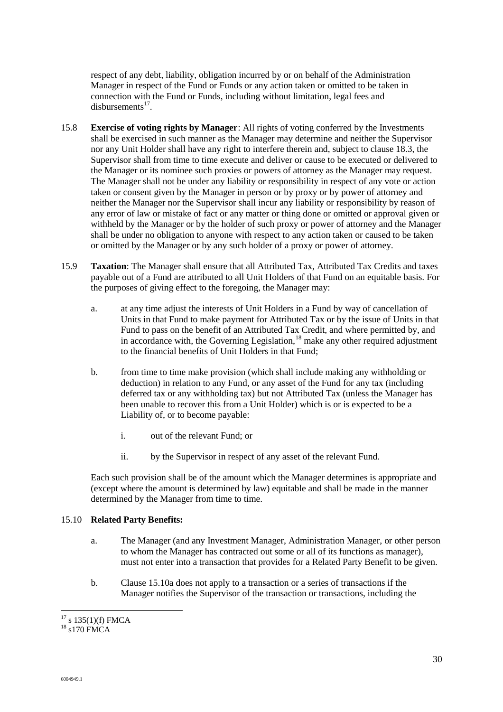respect of any debt, liability, obligation incurred by or on behalf of the Administration Manager in respect of the Fund or Funds or any action taken or omitted to be taken in connection with the Fund or Funds, including without limitation, legal fees and disbursements $^{17}$ .

- 15.8 **Exercise of voting rights by Manager**: All rights of voting conferred by the Investments shall be exercised in such manner as the Manager may determine and neither the Supervisor nor any Unit Holder shall have any right to interfere therein and, subject to clause 18.3, the Supervisor shall from time to time execute and deliver or cause to be executed or delivered to the Manager or its nominee such proxies or powers of attorney as the Manager may request. The Manager shall not be under any liability or responsibility in respect of any vote or action taken or consent given by the Manager in person or by proxy or by power of attorney and neither the Manager nor the Supervisor shall incur any liability or responsibility by reason of any error of law or mistake of fact or any matter or thing done or omitted or approval given or withheld by the Manager or by the holder of such proxy or power of attorney and the Manager shall be under no obligation to anyone with respect to any action taken or caused to be taken or omitted by the Manager or by any such holder of a proxy or power of attorney.
- 15.9 **Taxation**: The Manager shall ensure that all Attributed Tax, Attributed Tax Credits and taxes payable out of a Fund are attributed to all Unit Holders of that Fund on an equitable basis. For the purposes of giving effect to the foregoing, the Manager may:
	- a. at any time adjust the interests of Unit Holders in a Fund by way of cancellation of Units in that Fund to make payment for Attributed Tax or by the issue of Units in that Fund to pass on the benefit of an Attributed Tax Credit, and where permitted by, and in accordance with, the Governing Legislation, $18$  make any other required adjustment to the financial benefits of Unit Holders in that Fund;
	- b. from time to time make provision (which shall include making any withholding or deduction) in relation to any Fund, or any asset of the Fund for any tax (including deferred tax or any withholding tax) but not Attributed Tax (unless the Manager has been unable to recover this from a Unit Holder) which is or is expected to be a Liability of, or to become payable:
		- i. out of the relevant Fund; or
		- ii. by the Supervisor in respect of any asset of the relevant Fund.

Each such provision shall be of the amount which the Manager determines is appropriate and (except where the amount is determined by law) equitable and shall be made in the manner determined by the Manager from time to time.

#### 15.10 **Related Party Benefits:**

- a. The Manager (and any Investment Manager, Administration Manager, or other person to whom the Manager has contracted out some or all of its functions as manager), must not enter into a transaction that provides for a Related Party Benefit to be given.
- b. Clause 15.10a does not apply to a transaction or a series of transactions if the Manager notifies the Supervisor of the transaction or transactions, including the

l  $17$  s 135(1)(f) FMCA

<sup>&</sup>lt;sup>18</sup> s170 FMCA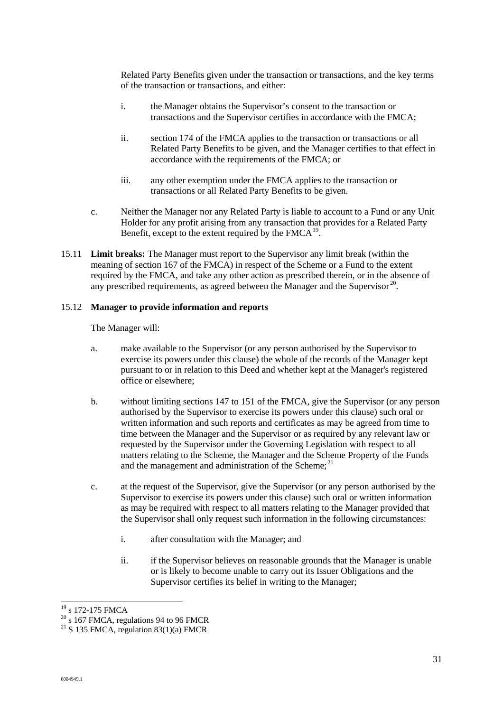Related Party Benefits given under the transaction or transactions, and the key terms of the transaction or transactions, and either:

- i. the Manager obtains the Supervisor's consent to the transaction or transactions and the Supervisor certifies in accordance with the FMCA;
- ii. section 174 of the FMCA applies to the transaction or transactions or all Related Party Benefits to be given, and the Manager certifies to that effect in accordance with the requirements of the FMCA; or
- iii. any other exemption under the FMCA applies to the transaction or transactions or all Related Party Benefits to be given.
- c. Neither the Manager nor any Related Party is liable to account to a Fund or any Unit Holder for any profit arising from any transaction that provides for a Related Party Benefit, except to the extent required by the  $F M C A^{19}$ .
- 15.11 **Limit breaks:** The Manager must report to the Supervisor any limit break (within the meaning of section 167 of the FMCA) in respect of the Scheme or a Fund to the extent required by the FMCA, and take any other action as prescribed therein, or in the absence of any prescribed requirements, as agreed between the Manager and the Supervisor<sup>20</sup>.

#### 15.12 **Manager to provide information and reports**

The Manager will:

- a. make available to the Supervisor (or any person authorised by the Supervisor to exercise its powers under this clause) the whole of the records of the Manager kept pursuant to or in relation to this Deed and whether kept at the Manager's registered office or elsewhere;
- b. without limiting sections 147 to 151 of the FMCA, give the Supervisor (or any person authorised by the Supervisor to exercise its powers under this clause) such oral or written information and such reports and certificates as may be agreed from time to time between the Manager and the Supervisor or as required by any relevant law or requested by the Supervisor under the Governing Legislation with respect to all matters relating to the Scheme, the Manager and the Scheme Property of the Funds and the management and administration of the Scheme:<sup>21</sup>
- c. at the request of the Supervisor, give the Supervisor (or any person authorised by the Supervisor to exercise its powers under this clause) such oral or written information as may be required with respect to all matters relating to the Manager provided that the Supervisor shall only request such information in the following circumstances:
	- i. after consultation with the Manager; and
	- ii. if the Supervisor believes on reasonable grounds that the Manager is unable or is likely to become unable to carry out its Issuer Obligations and the Supervisor certifies its belief in writing to the Manager;

 $20 \text{ s}$  167 FMCA, regulations 94 to 96 FMCR

l <sup>19</sup> s 172-175 FMCA

<sup>&</sup>lt;sup>21</sup> S 135 FMCA, regulation  $83(1)(a)$  FMCR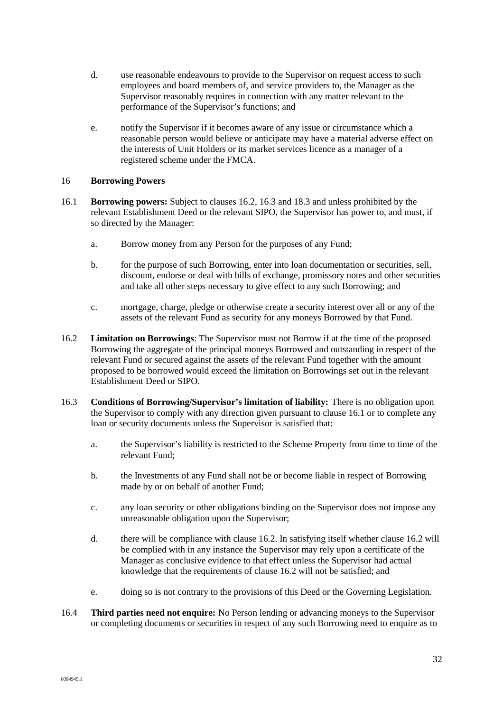- d. use reasonable endeavours to provide to the Supervisor on request access to such employees and board members of, and service providers to, the Manager as the Supervisor reasonably requires in connection with any matter relevant to the performance of the Supervisor's functions; and
- e. notify the Supervisor if it becomes aware of any issue or circumstance which a reasonable person would believe or anticipate may have a material adverse effect on the interests of Unit Holders or its market services licence as a manager of a registered scheme under the FMCA.

#### 16 **Borrowing Powers**

- 16.1 **Borrowing powers:** Subject to clauses 16.2, 16.3 and 18.3 and unless prohibited by the relevant Establishment Deed or the relevant SIPO, the Supervisor has power to, and must, if so directed by the Manager:
	- a. Borrow money from any Person for the purposes of any Fund;
	- b. for the purpose of such Borrowing, enter into loan documentation or securities, sell, discount, endorse or deal with bills of exchange, promissory notes and other securities and take all other steps necessary to give effect to any such Borrowing; and
	- c. mortgage, charge, pledge or otherwise create a security interest over all or any of the assets of the relevant Fund as security for any moneys Borrowed by that Fund.
- 16.2 **Limitation on Borrowings**: The Supervisor must not Borrow if at the time of the proposed Borrowing the aggregate of the principal moneys Borrowed and outstanding in respect of the relevant Fund or secured against the assets of the relevant Fund together with the amount proposed to be borrowed would exceed the limitation on Borrowings set out in the relevant Establishment Deed or SIPO.
- 16.3 **Conditions of Borrowing/Supervisor's limitation of liability:** There is no obligation upon the Supervisor to comply with any direction given pursuant to clause 16.1 or to complete any loan or security documents unless the Supervisor is satisfied that:
	- a. the Supervisor's liability is restricted to the Scheme Property from time to time of the relevant Fund;
	- b. the Investments of any Fund shall not be or become liable in respect of Borrowing made by or on behalf of another Fund;
	- c. any loan security or other obligations binding on the Supervisor does not impose any unreasonable obligation upon the Supervisor;
	- d. there will be compliance with clause 16.2. In satisfying itself whether clause 16.2 will be complied with in any instance the Supervisor may rely upon a certificate of the Manager as conclusive evidence to that effect unless the Supervisor had actual knowledge that the requirements of clause 16.2 will not be satisfied; and
	- e. doing so is not contrary to the provisions of this Deed or the Governing Legislation.
- 16.4 **Third parties need not enquire:** No Person lending or advancing moneys to the Supervisor or completing documents or securities in respect of any such Borrowing need to enquire as to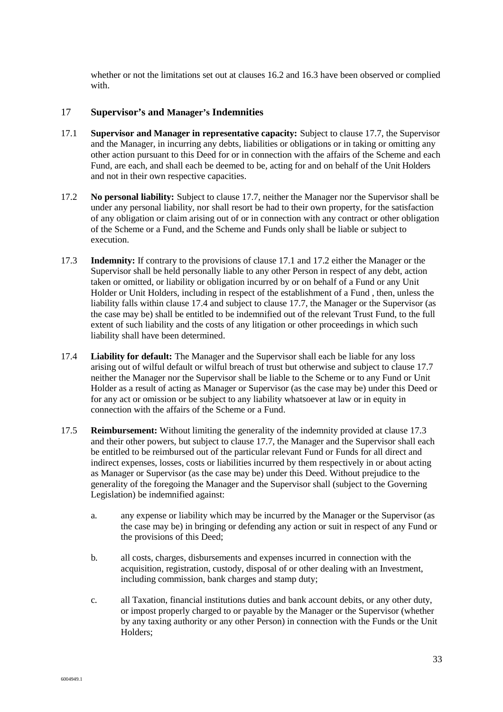whether or not the limitations set out at clauses 16.2 and 16.3 have been observed or complied with.

#### 17 **Supervisor's and Manager's Indemnities**

- 17.1 **Supervisor and Manager in representative capacity:** Subject to clause 17.7, the Supervisor and the Manager, in incurring any debts, liabilities or obligations or in taking or omitting any other action pursuant to this Deed for or in connection with the affairs of the Scheme and each Fund, are each, and shall each be deemed to be, acting for and on behalf of the Unit Holders and not in their own respective capacities.
- 17.2 **No personal liability:** Subject to clause 17.7, neither the Manager nor the Supervisor shall be under any personal liability, nor shall resort be had to their own property, for the satisfaction of any obligation or claim arising out of or in connection with any contract or other obligation of the Scheme or a Fund, and the Scheme and Funds only shall be liable or subject to execution.
- 17.3 **Indemnity:** If contrary to the provisions of clause 17.1 and 17.2 either the Manager or the Supervisor shall be held personally liable to any other Person in respect of any debt, action taken or omitted, or liability or obligation incurred by or on behalf of a Fund or any Unit Holder or Unit Holders, including in respect of the establishment of a Fund , then, unless the liability falls within clause 17.4 and subject to clause 17.7, the Manager or the Supervisor (as the case may be) shall be entitled to be indemnified out of the relevant Trust Fund, to the full extent of such liability and the costs of any litigation or other proceedings in which such liability shall have been determined.
- 17.4 **Liability for default:** The Manager and the Supervisor shall each be liable for any loss arising out of wilful default or wilful breach of trust but otherwise and subject to clause 17.7 neither the Manager nor the Supervisor shall be liable to the Scheme or to any Fund or Unit Holder as a result of acting as Manager or Supervisor (as the case may be) under this Deed or for any act or omission or be subject to any liability whatsoever at law or in equity in connection with the affairs of the Scheme or a Fund.
- 17.5 **Reimbursement:** Without limiting the generality of the indemnity provided at clause 17.3 and their other powers, but subject to clause 17.7, the Manager and the Supervisor shall each be entitled to be reimbursed out of the particular relevant Fund or Funds for all direct and indirect expenses, losses, costs or liabilities incurred by them respectively in or about acting as Manager or Supervisor (as the case may be) under this Deed. Without prejudice to the generality of the foregoing the Manager and the Supervisor shall (subject to the Governing Legislation) be indemnified against:
	- a. any expense or liability which may be incurred by the Manager or the Supervisor (as the case may be) in bringing or defending any action or suit in respect of any Fund or the provisions of this Deed;
	- b. all costs, charges, disbursements and expenses incurred in connection with the acquisition, registration, custody, disposal of or other dealing with an Investment, including commission, bank charges and stamp duty;
	- c. all Taxation, financial institutions duties and bank account debits, or any other duty, or impost properly charged to or payable by the Manager or the Supervisor (whether by any taxing authority or any other Person) in connection with the Funds or the Unit Holders;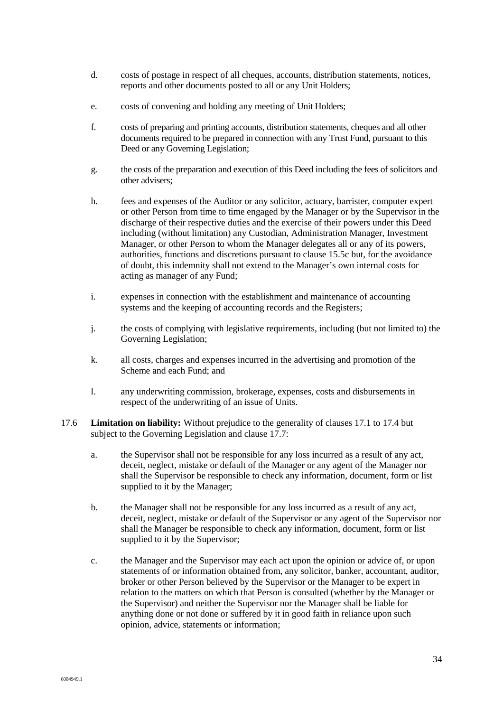- d. costs of postage in respect of all cheques, accounts, distribution statements, notices, reports and other documents posted to all or any Unit Holders;
- e. costs of convening and holding any meeting of Unit Holders;
- f. costs of preparing and printing accounts, distribution statements, cheques and all other documents required to be prepared in connection with any Trust Fund, pursuant to this Deed or any Governing Legislation;
- g. the costs of the preparation and execution of this Deed including the fees of solicitors and other advisers;
- h. fees and expenses of the Auditor or any solicitor, actuary, barrister, computer expert or other Person from time to time engaged by the Manager or by the Supervisor in the discharge of their respective duties and the exercise of their powers under this Deed including (without limitation) any Custodian, Administration Manager, Investment Manager, or other Person to whom the Manager delegates all or any of its powers, authorities, functions and discretions pursuant to clause 15.5c but, for the avoidance of doubt, this indemnity shall not extend to the Manager's own internal costs for acting as manager of any Fund;
- i. expenses in connection with the establishment and maintenance of accounting systems and the keeping of accounting records and the Registers;
- j. the costs of complying with legislative requirements, including (but not limited to) the Governing Legislation;
- k. all costs, charges and expenses incurred in the advertising and promotion of the Scheme and each Fund; and
- l. any underwriting commission, brokerage, expenses, costs and disbursements in respect of the underwriting of an issue of Units.
- 17.6 **Limitation on liability:** Without prejudice to the generality of clauses 17.1 to 17.4 but subject to the Governing Legislation and clause 17.7:
	- a. the Supervisor shall not be responsible for any loss incurred as a result of any act, deceit, neglect, mistake or default of the Manager or any agent of the Manager nor shall the Supervisor be responsible to check any information, document, form or list supplied to it by the Manager:
	- b. the Manager shall not be responsible for any loss incurred as a result of any act, deceit, neglect, mistake or default of the Supervisor or any agent of the Supervisor nor shall the Manager be responsible to check any information, document, form or list supplied to it by the Supervisor;
	- c. the Manager and the Supervisor may each act upon the opinion or advice of, or upon statements of or information obtained from, any solicitor, banker, accountant, auditor, broker or other Person believed by the Supervisor or the Manager to be expert in relation to the matters on which that Person is consulted (whether by the Manager or the Supervisor) and neither the Supervisor nor the Manager shall be liable for anything done or not done or suffered by it in good faith in reliance upon such opinion, advice, statements or information;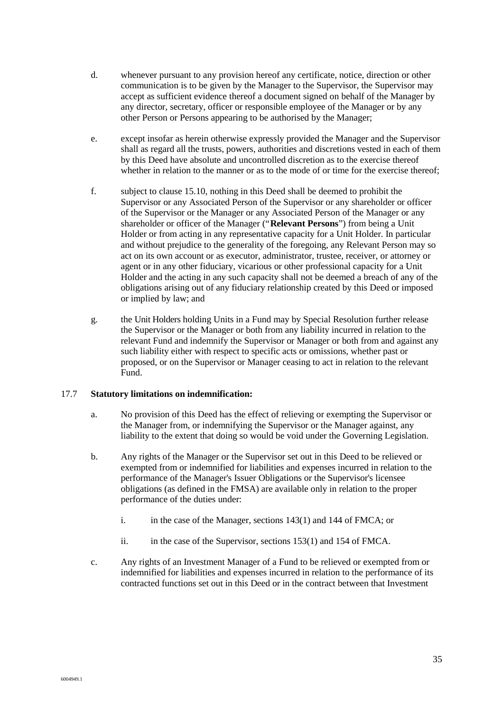- d. whenever pursuant to any provision hereof any certificate, notice, direction or other communication is to be given by the Manager to the Supervisor, the Supervisor may accept as sufficient evidence thereof a document signed on behalf of the Manager by any director, secretary, officer or responsible employee of the Manager or by any other Person or Persons appearing to be authorised by the Manager;
- e. except insofar as herein otherwise expressly provided the Manager and the Supervisor shall as regard all the trusts, powers, authorities and discretions vested in each of them by this Deed have absolute and uncontrolled discretion as to the exercise thereof whether in relation to the manner or as to the mode of or time for the exercise thereof;
- f. subject to clause 15.10, nothing in this Deed shall be deemed to prohibit the Supervisor or any Associated Person of the Supervisor or any shareholder or officer of the Supervisor or the Manager or any Associated Person of the Manager or any shareholder or officer of the Manager ("**Relevant Persons**") from being a Unit Holder or from acting in any representative capacity for a Unit Holder. In particular and without prejudice to the generality of the foregoing, any Relevant Person may so act on its own account or as executor, administrator, trustee, receiver, or attorney or agent or in any other fiduciary, vicarious or other professional capacity for a Unit Holder and the acting in any such capacity shall not be deemed a breach of any of the obligations arising out of any fiduciary relationship created by this Deed or imposed or implied by law; and
- g. the Unit Holders holding Units in a Fund may by Special Resolution further release the Supervisor or the Manager or both from any liability incurred in relation to the relevant Fund and indemnify the Supervisor or Manager or both from and against any such liability either with respect to specific acts or omissions, whether past or proposed, or on the Supervisor or Manager ceasing to act in relation to the relevant Fund.

#### 17.7 **Statutory limitations on indemnification:**

- a. No provision of this Deed has the effect of relieving or exempting the Supervisor or the Manager from, or indemnifying the Supervisor or the Manager against, any liability to the extent that doing so would be void under the Governing Legislation.
- b. Any rights of the Manager or the Supervisor set out in this Deed to be relieved or exempted from or indemnified for liabilities and expenses incurred in relation to the performance of the Manager's Issuer Obligations or the Supervisor's licensee obligations (as defined in the FMSA) are available only in relation to the proper performance of the duties under:
	- i. in the case of the Manager, sections 143(1) and 144 of FMCA; or
	- ii. in the case of the Supervisor, sections 153(1) and 154 of FMCA.
- c. Any rights of an Investment Manager of a Fund to be relieved or exempted from or indemnified for liabilities and expenses incurred in relation to the performance of its contracted functions set out in this Deed or in the contract between that Investment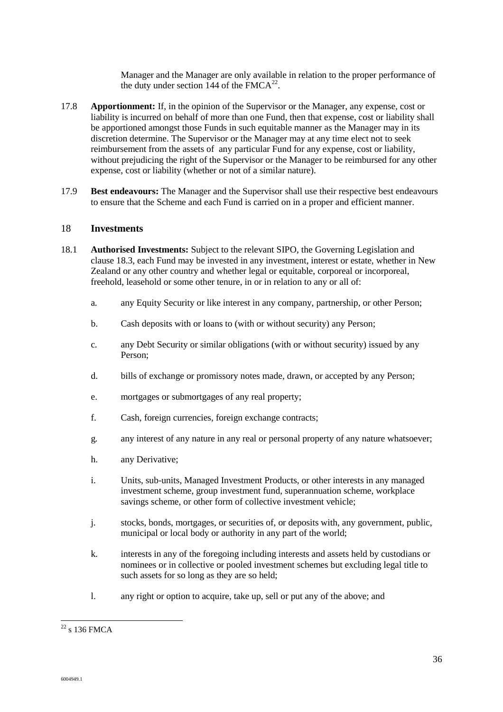Manager and the Manager are only available in relation to the proper performance of the duty under section 144 of the  $F M C A^{22}$ .

- 17.8 **Apportionment:** If, in the opinion of the Supervisor or the Manager, any expense, cost or liability is incurred on behalf of more than one Fund, then that expense, cost or liability shall be apportioned amongst those Funds in such equitable manner as the Manager may in its discretion determine. The Supervisor or the Manager may at any time elect not to seek reimbursement from the assets of any particular Fund for any expense, cost or liability, without prejudicing the right of the Supervisor or the Manager to be reimbursed for any other expense, cost or liability (whether or not of a similar nature).
- 17.9 **Best endeavours:** The Manager and the Supervisor shall use their respective best endeavours to ensure that the Scheme and each Fund is carried on in a proper and efficient manner.

#### 18 **Investments**

- 18.1 **Authorised Investments:** Subject to the relevant SIPO, the Governing Legislation and clause 18.3, each Fund may be invested in any investment, interest or estate, whether in New Zealand or any other country and whether legal or equitable, corporeal or incorporeal, freehold, leasehold or some other tenure, in or in relation to any or all of:
	- a. any Equity Security or like interest in any company, partnership, or other Person;
	- b. Cash deposits with or loans to (with or without security) any Person;
	- c. any Debt Security or similar obligations (with or without security) issued by any Person;
	- d. bills of exchange or promissory notes made, drawn, or accepted by any Person;
	- e. mortgages or submortgages of any real property;
	- f. Cash, foreign currencies, foreign exchange contracts;
	- g. any interest of any nature in any real or personal property of any nature whatsoever;
	- h. any Derivative;
	- i. Units, sub-units, Managed Investment Products, or other interests in any managed investment scheme, group investment fund, superannuation scheme, workplace savings scheme, or other form of collective investment vehicle;
	- j. stocks, bonds, mortgages, or securities of, or deposits with, any government, public, municipal or local body or authority in any part of the world;
	- k. interests in any of the foregoing including interests and assets held by custodians or nominees or in collective or pooled investment schemes but excluding legal title to such assets for so long as they are so held;
	- l. any right or option to acquire, take up, sell or put any of the above; and

 $\overline{a}$ 

 $22$  s 136 FMCA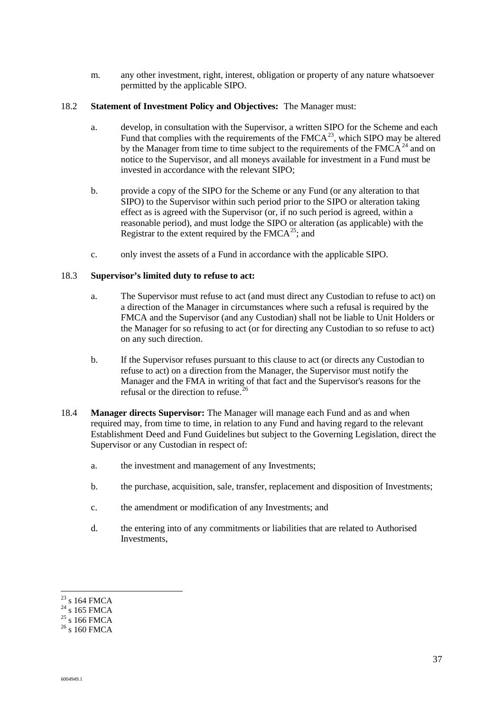m. any other investment, right, interest, obligation or property of any nature whatsoever permitted by the applicable SIPO.

#### 18.2 **Statement of Investment Policy and Objectives:** The Manager must:

- a. develop, in consultation with the Supervisor, a written SIPO for the Scheme and each Fund that complies with the requirements of the  $FMCA^{23}$ , which SIPO may be altered by the Manager from time to time subject to the requirements of the  $FMCA<sup>24</sup>$  and on notice to the Supervisor, and all moneys available for investment in a Fund must be invested in accordance with the relevant SIPO;
- b. provide a copy of the SIPO for the Scheme or any Fund (or any alteration to that SIPO) to the Supervisor within such period prior to the SIPO or alteration taking effect as is agreed with the Supervisor (or, if no such period is agreed, within a reasonable period), and must lodge the SIPO or alteration (as applicable) with the Registrar to the extent required by the  $F M C A^{25}$ ; and
- c. only invest the assets of a Fund in accordance with the applicable SIPO.

#### 18.3 **Supervisor's limited duty to refuse to act:**

- a. The Supervisor must refuse to act (and must direct any Custodian to refuse to act) on a direction of the Manager in circumstances where such a refusal is required by the FMCA and the Supervisor (and any Custodian) shall not be liable to Unit Holders or the Manager for so refusing to act (or for directing any Custodian to so refuse to act) on any such direction.
- b. If the Supervisor refuses pursuant to this clause to act (or directs any Custodian to refuse to act) on a direction from the Manager, the Supervisor must notify the Manager and the FMA in writing of that fact and the Supervisor's reasons for the refusal or the direction to refuse.<sup>2</sup>
- 18.4 **Manager directs Supervisor:** The Manager will manage each Fund and as and when required may, from time to time, in relation to any Fund and having regard to the relevant Establishment Deed and Fund Guidelines but subject to the Governing Legislation, direct the Supervisor or any Custodian in respect of:
	- a. the investment and management of any Investments;
	- b. the purchase, acquisition, sale, transfer, replacement and disposition of Investments;
	- c. the amendment or modification of any Investments; and
	- d. the entering into of any commitments or liabilities that are related to Authorised Investments,

l

 $23$  s 164 FMCA

 $24 \times 165$  FMCA

 $25 \times 166$  FMCA

 $^{26}$  s 160 FMCA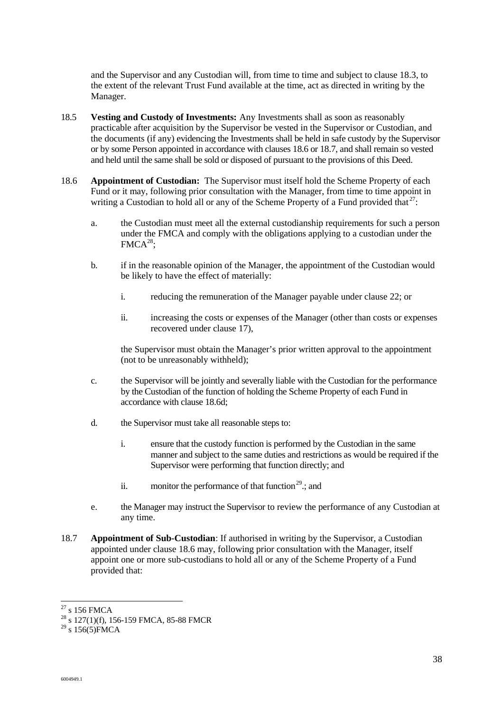and the Supervisor and any Custodian will, from time to time and subject to clause 18.3, to the extent of the relevant Trust Fund available at the time, act as directed in writing by the Manager.

- 18.5 **Vesting and Custody of Investments:** Any Investments shall as soon as reasonably practicable after acquisition by the Supervisor be vested in the Supervisor or Custodian, and the documents (if any) evidencing the Investments shall be held in safe custody by the Supervisor or by some Person appointed in accordance with clauses 18.6 or 18.7, and shall remain so vested and held until the same shall be sold or disposed of pursuant to the provisions of this Deed.
- 18.6 **Appointment of Custodian:** The Supervisor must itself hold the Scheme Property of each Fund or it may, following prior consultation with the Manager, from time to time appoint in writing a Custodian to hold all or any of the Scheme Property of a Fund provided that  $27$ :
	- a. the Custodian must meet all the external custodianship requirements for such a person under the FMCA and comply with the obligations applying to a custodian under the  $FMCA^{28}$ :
	- b. if in the reasonable opinion of the Manager, the appointment of the Custodian would be likely to have the effect of materially:
		- i. reducing the remuneration of the Manager payable under clause 22; or
		- ii. increasing the costs or expenses of the Manager (other than costs or expenses recovered under clause 17),

the Supervisor must obtain the Manager's prior written approval to the appointment (not to be unreasonably withheld);

- c. the Supervisor will be jointly and severally liable with the Custodian for the performance by the Custodian of the function of holding the Scheme Property of each Fund in accordance with clause 18.6d;
- d. the Supervisor must take all reasonable steps to:
	- i. ensure that the custody function is performed by the Custodian in the same manner and subject to the same duties and restrictions as would be required if the Supervisor were performing that function directly; and
	- ii. monitor the performance of that function<sup>29</sup>.; and
- e. the Manager may instruct the Supervisor to review the performance of any Custodian at any time.
- 18.7 **Appointment of Sub-Custodian**: If authorised in writing by the Supervisor, a Custodian appointed under clause 18.6 may, following prior consultation with the Manager, itself appoint one or more sub-custodians to hold all or any of the Scheme Property of a Fund provided that:

l  $27$  s 156 FMCA

<sup>&</sup>lt;sup>28</sup> s 127(1)(f), 156-159 FMCA, 85-88 FMCR

 $29 \text{ s} 156(5)$ FMCA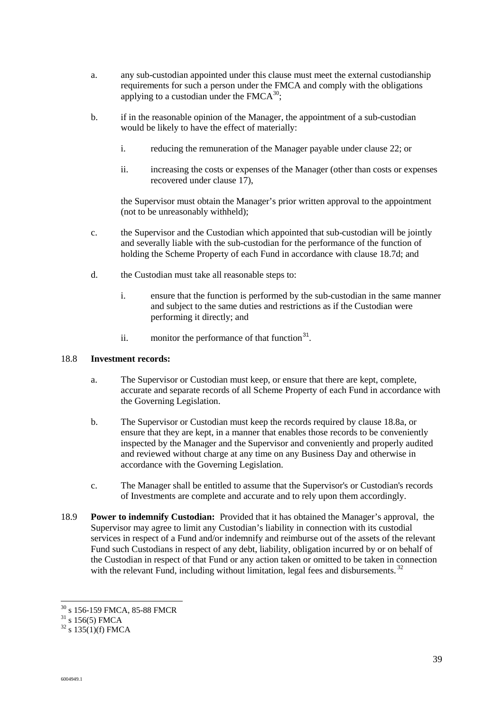- a. any sub-custodian appointed under this clause must meet the external custodianship requirements for such a person under the FMCA and comply with the obligations applying to a custodian under the  $FMCA^{30}$ .
- b. if in the reasonable opinion of the Manager, the appointment of a sub-custodian would be likely to have the effect of materially:
	- i. reducing the remuneration of the Manager payable under clause 22; or
	- ii. increasing the costs or expenses of the Manager (other than costs or expenses recovered under clause 17),

the Supervisor must obtain the Manager's prior written approval to the appointment (not to be unreasonably withheld);

- c. the Supervisor and the Custodian which appointed that sub-custodian will be jointly and severally liable with the sub-custodian for the performance of the function of holding the Scheme Property of each Fund in accordance with clause 18.7d; and
- d. the Custodian must take all reasonable steps to:
	- i. ensure that the function is performed by the sub-custodian in the same manner and subject to the same duties and restrictions as if the Custodian were performing it directly; and
	- ii. monitor the performance of that function $3<sup>1</sup>$ .

#### 18.8 **Investment records:**

- a. The Supervisor or Custodian must keep, or ensure that there are kept, complete, accurate and separate records of all Scheme Property of each Fund in accordance with the Governing Legislation.
- b. The Supervisor or Custodian must keep the records required by clause 18.8a, or ensure that they are kept, in a manner that enables those records to be conveniently inspected by the Manager and the Supervisor and conveniently and properly audited and reviewed without charge at any time on any Business Day and otherwise in accordance with the Governing Legislation.
- c. The Manager shall be entitled to assume that the Supervisor's or Custodian's records of Investments are complete and accurate and to rely upon them accordingly.
- 18.9 **Power to indemnify Custodian:** Provided that it has obtained the Manager's approval, the Supervisor may agree to limit any Custodian's liability in connection with its custodial services in respect of a Fund and/or indemnify and reimburse out of the assets of the relevant Fund such Custodians in respect of any debt, liability, obligation incurred by or on behalf of the Custodian in respect of that Fund or any action taken or omitted to be taken in connection with the relevant Fund, including without limitation, legal fees and disbursements.<sup>32</sup>

l

<sup>30</sup> s 156-159 FMCA, 85-88 FMCR

 $31\frac{\text{S}}{\text{S}}$  156(5) FMCA

 $32 \text{ s } 135(1)$ (f) FMCA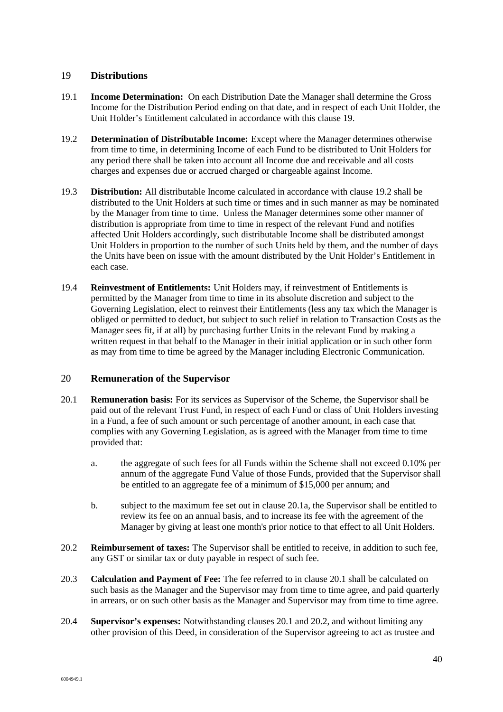#### 19 **Distributions**

- 19.1 **Income Determination:** On each Distribution Date the Manager shall determine the Gross Income for the Distribution Period ending on that date, and in respect of each Unit Holder, the Unit Holder's Entitlement calculated in accordance with this clause 19.
- 19.2 **Determination of Distributable Income:** Except where the Manager determines otherwise from time to time, in determining Income of each Fund to be distributed to Unit Holders for any period there shall be taken into account all Income due and receivable and all costs charges and expenses due or accrued charged or chargeable against Income.
- 19.3 **Distribution:** All distributable Income calculated in accordance with clause 19.2 shall be distributed to the Unit Holders at such time or times and in such manner as may be nominated by the Manager from time to time. Unless the Manager determines some other manner of distribution is appropriate from time to time in respect of the relevant Fund and notifies affected Unit Holders accordingly, such distributable Income shall be distributed amongst Unit Holders in proportion to the number of such Units held by them, and the number of days the Units have been on issue with the amount distributed by the Unit Holder's Entitlement in each case.
- 19.4 **Reinvestment of Entitlements:** Unit Holders may, if reinvestment of Entitlements is permitted by the Manager from time to time in its absolute discretion and subject to the Governing Legislation, elect to reinvest their Entitlements (less any tax which the Manager is obliged or permitted to deduct, but subject to such relief in relation to Transaction Costs as the Manager sees fit, if at all) by purchasing further Units in the relevant Fund by making a written request in that behalf to the Manager in their initial application or in such other form as may from time to time be agreed by the Manager including Electronic Communication.

#### 20 **Remuneration of the Supervisor**

- 20.1 **Remuneration basis:** For its services as Supervisor of the Scheme, the Supervisor shall be paid out of the relevant Trust Fund, in respect of each Fund or class of Unit Holders investing in a Fund, a fee of such amount or such percentage of another amount, in each case that complies with any Governing Legislation, as is agreed with the Manager from time to time provided that:
	- a. the aggregate of such fees for all Funds within the Scheme shall not exceed 0.10% per annum of the aggregate Fund Value of those Funds, provided that the Supervisor shall be entitled to an aggregate fee of a minimum of \$15,000 per annum; and
	- b. subject to the maximum fee set out in clause 20.1a, the Supervisor shall be entitled to review its fee on an annual basis, and to increase its fee with the agreement of the Manager by giving at least one month's prior notice to that effect to all Unit Holders.
- 20.2 **Reimbursement of taxes:** The Supervisor shall be entitled to receive, in addition to such fee, any GST or similar tax or duty payable in respect of such fee.
- 20.3 **Calculation and Payment of Fee:** The fee referred to in clause 20.1 shall be calculated on such basis as the Manager and the Supervisor may from time to time agree, and paid quarterly in arrears, or on such other basis as the Manager and Supervisor may from time to time agree.
- 20.4 **Supervisor's expenses:** Notwithstanding clauses 20.1 and 20.2, and without limiting any other provision of this Deed, in consideration of the Supervisor agreeing to act as trustee and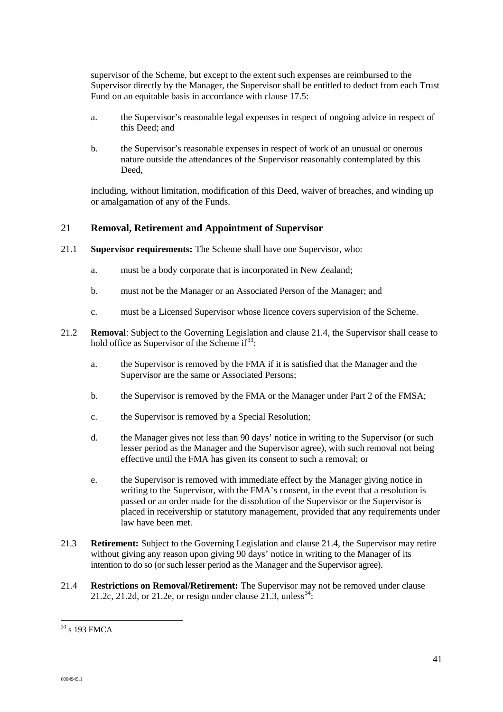supervisor of the Scheme, but except to the extent such expenses are reimbursed to the Supervisor directly by the Manager, the Supervisor shall be entitled to deduct from each Trust Fund on an equitable basis in accordance with clause 17.5:

- a. the Supervisor's reasonable legal expenses in respect of ongoing advice in respect of this Deed; and
- b. the Supervisor's reasonable expenses in respect of work of an unusual or onerous nature outside the attendances of the Supervisor reasonably contemplated by this Deed,

including, without limitation, modification of this Deed, waiver of breaches, and winding up or amalgamation of any of the Funds.

#### 21 **Removal, Retirement and Appointment of Supervisor**

- 21.1 **Supervisor requirements:** The Scheme shall have one Supervisor, who:
	- a. must be a body corporate that is incorporated in New Zealand;
	- b. must not be the Manager or an Associated Person of the Manager; and
	- c. must be a Licensed Supervisor whose licence covers supervision of the Scheme.
- 21.2 **Removal**: Subject to the Governing Legislation and clause 21.4, the Supervisor shall cease to hold office as Supervisor of the Scheme  $if<sup>33</sup>$ :
	- a. the Supervisor is removed by the FMA if it is satisfied that the Manager and the Supervisor are the same or Associated Persons;
	- b. the Supervisor is removed by the FMA or the Manager under Part 2 of the FMSA;
	- c. the Supervisor is removed by a Special Resolution;
	- d. the Manager gives not less than 90 days' notice in writing to the Supervisor (or such lesser period as the Manager and the Supervisor agree), with such removal not being effective until the FMA has given its consent to such a removal; or
	- e. the Supervisor is removed with immediate effect by the Manager giving notice in writing to the Supervisor, with the FMA's consent, in the event that a resolution is passed or an order made for the dissolution of the Supervisor or the Supervisor is placed in receivership or statutory management, provided that any requirements under law have been met.
- 21.3 **Retirement:** Subject to the Governing Legislation and clause 21.4, the Supervisor may retire without giving any reason upon giving 90 days' notice in writing to the Manager of its intention to do so (or such lesser period as the Manager and the Supervisor agree).
- 21.4 **Restrictions on Removal/Retirement:** The Supervisor may not be removed under clause 21.2c, 21.2d, or 21.2e, or resign under clause  $21.3$ , unless<sup>34</sup>:

 $\overline{a}$ 

 $33$  s 193 FMCA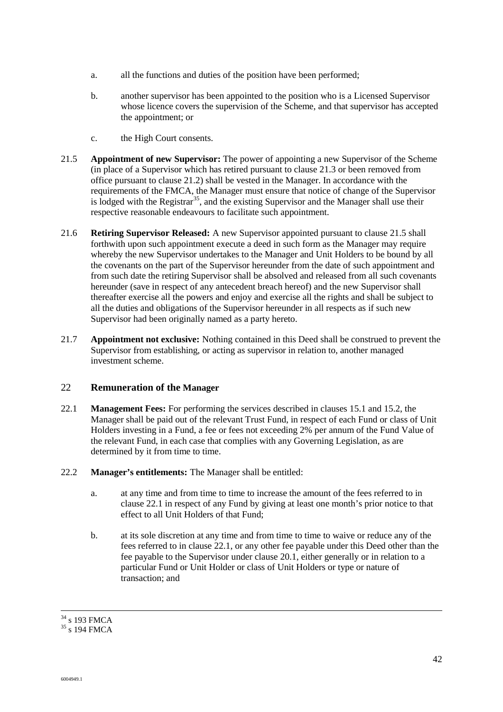- a. all the functions and duties of the position have been performed;
- b. another supervisor has been appointed to the position who is a Licensed Supervisor whose licence covers the supervision of the Scheme, and that supervisor has accepted the appointment; or
- c. the High Court consents.
- 21.5 **Appointment of new Supervisor:** The power of appointing a new Supervisor of the Scheme (in place of a Supervisor which has retired pursuant to clause 21.3 or been removed from office pursuant to clause 21.2) shall be vested in the Manager. In accordance with the requirements of the FMCA, the Manager must ensure that notice of change of the Supervisor is lodged with the Registrar<sup>35</sup>, and the existing Supervisor and the Manager shall use their respective reasonable endeavours to facilitate such appointment.
- 21.6 **Retiring Supervisor Released:** A new Supervisor appointed pursuant to clause 21.5 shall forthwith upon such appointment execute a deed in such form as the Manager may require whereby the new Supervisor undertakes to the Manager and Unit Holders to be bound by all the covenants on the part of the Supervisor hereunder from the date of such appointment and from such date the retiring Supervisor shall be absolved and released from all such covenants hereunder (save in respect of any antecedent breach hereof) and the new Supervisor shall thereafter exercise all the powers and enjoy and exercise all the rights and shall be subject to all the duties and obligations of the Supervisor hereunder in all respects as if such new Supervisor had been originally named as a party hereto.
- 21.7 **Appointment not exclusive:** Nothing contained in this Deed shall be construed to prevent the Supervisor from establishing, or acting as supervisor in relation to, another managed investment scheme.

#### 22 **Remuneration of the Manager**

- 22.1 **Management Fees:** For performing the services described in clauses 15.1 and 15.2, the Manager shall be paid out of the relevant Trust Fund, in respect of each Fund or class of Unit Holders investing in a Fund, a fee or fees not exceeding 2% per annum of the Fund Value of the relevant Fund, in each case that complies with any Governing Legislation, as are determined by it from time to time.
- 22.2 **Manager's entitlements:** The Manager shall be entitled:
	- a. at any time and from time to time to increase the amount of the fees referred to in clause 22.1 in respect of any Fund by giving at least one month's prior notice to that effect to all Unit Holders of that Fund;
	- b. at its sole discretion at any time and from time to time to waive or reduce any of the fees referred to in clause 22.1, or any other fee payable under this Deed other than the fee payable to the Supervisor under clause 20.1, either generally or in relation to a particular Fund or Unit Holder or class of Unit Holders or type or nature of transaction; and

l  $34$  s 193 FMCA

<sup>&</sup>lt;sup>35</sup> s 194 FMCA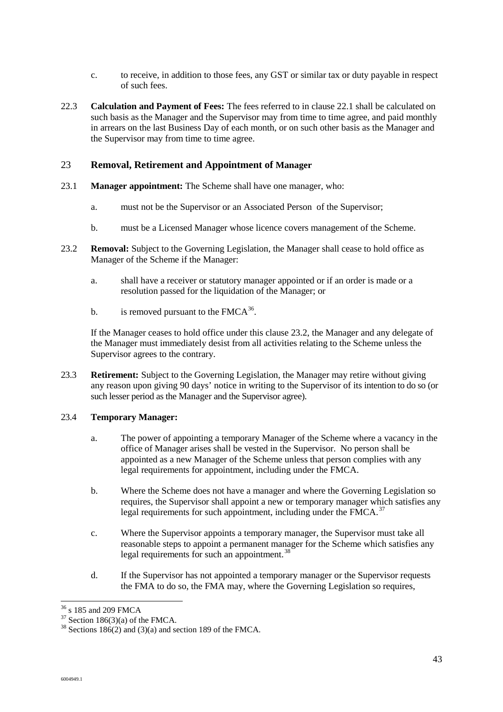- c. to receive, in addition to those fees, any GST or similar tax or duty payable in respect of such fees.
- 22.3 **Calculation and Payment of Fees:** The fees referred to in clause 22.1 shall be calculated on such basis as the Manager and the Supervisor may from time to time agree, and paid monthly in arrears on the last Business Day of each month, or on such other basis as the Manager and the Supervisor may from time to time agree.

#### 23 **Removal, Retirement and Appointment of Manager**

- 23.1 **Manager appointment:** The Scheme shall have one manager, who:
	- a. must not be the Supervisor or an Associated Person of the Supervisor;
	- b. must be a Licensed Manager whose licence covers management of the Scheme.
- 23.2 **Removal:** Subject to the Governing Legislation, the Manager shall cease to hold office as Manager of the Scheme if the Manager:
	- a. shall have a receiver or statutory manager appointed or if an order is made or a resolution passed for the liquidation of the Manager; or
	- b. is removed pursuant to the  $FMCA^{36}$ .

If the Manager ceases to hold office under this clause 23.2, the Manager and any delegate of the Manager must immediately desist from all activities relating to the Scheme unless the Supervisor agrees to the contrary.

23.3 **Retirement:** Subject to the Governing Legislation, the Manager may retire without giving any reason upon giving 90 days' notice in writing to the Supervisor of its intention to do so (or such lesser period as the Manager and the Supervisor agree).

#### 23.4 **Temporary Manager:**

- a. The power of appointing a temporary Manager of the Scheme where a vacancy in the office of Manager arises shall be vested in the Supervisor. No person shall be appointed as a new Manager of the Scheme unless that person complies with any legal requirements for appointment, including under the FMCA.
- b. Where the Scheme does not have a manager and where the Governing Legislation so requires, the Supervisor shall appoint a new or temporary manager which satisfies any legal requirements for such appointment, including under the FMCA.<sup>37</sup>
- c. Where the Supervisor appoints a temporary manager, the Supervisor must take all reasonable steps to appoint a permanent manager for the Scheme which satisfies any legal requirements for such an appointment.<sup>38</sup>
- d. If the Supervisor has not appointed a temporary manager or the Supervisor requests the FMA to do so, the FMA may, where the Governing Legislation so requires,

l <sup>36</sup> s 185 and 209 FMCA

 $37$  Section 186(3)(a) of the FMCA.

 $38$  Sections 186(2) and (3)(a) and section 189 of the FMCA.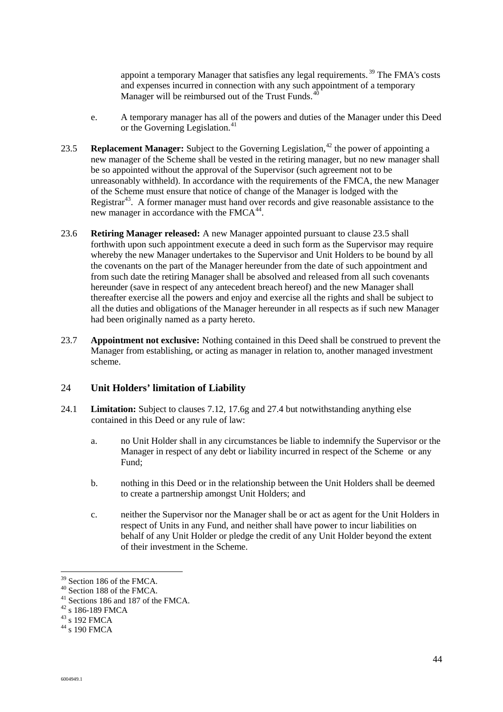appoint a temporary Manager that satisfies any legal requirements. <sup>39</sup> The FMA's costs and expenses incurred in connection with any such appointment of a temporary Manager will be reimbursed out of the Trust Funds.<sup>4</sup>

- e. A temporary manager has all of the powers and duties of the Manager under this Deed or the Governing Legislation.<sup>41</sup>
- 23.5 **Replacement Manager:** Subject to the Governing Legislation.<sup>42</sup> the power of appointing a new manager of the Scheme shall be vested in the retiring manager, but no new manager shall be so appointed without the approval of the Supervisor (such agreement not to be unreasonably withheld). In accordance with the requirements of the FMCA, the new Manager of the Scheme must ensure that notice of change of the Manager is lodged with the Registrar<sup>43</sup>. A former manager must hand over records and give reasonable assistance to the new manager in accordance with the FMCA<sup>44</sup>.
- 23.6 **Retiring Manager released:** A new Manager appointed pursuant to clause 23.5 shall forthwith upon such appointment execute a deed in such form as the Supervisor may require whereby the new Manager undertakes to the Supervisor and Unit Holders to be bound by all the covenants on the part of the Manager hereunder from the date of such appointment and from such date the retiring Manager shall be absolved and released from all such covenants hereunder (save in respect of any antecedent breach hereof) and the new Manager shall thereafter exercise all the powers and enjoy and exercise all the rights and shall be subject to all the duties and obligations of the Manager hereunder in all respects as if such new Manager had been originally named as a party hereto.
- 23.7 **Appointment not exclusive:** Nothing contained in this Deed shall be construed to prevent the Manager from establishing, or acting as manager in relation to, another managed investment scheme.

#### 24 **Unit Holders' limitation of Liability**

- 24.1 **Limitation:** Subject to clauses 7.12, 17.6g and 27.4 but notwithstanding anything else contained in this Deed or any rule of law:
	- a. no Unit Holder shall in any circumstances be liable to indemnify the Supervisor or the Manager in respect of any debt or liability incurred in respect of the Scheme or any Fund;
	- b. nothing in this Deed or in the relationship between the Unit Holders shall be deemed to create a partnership amongst Unit Holders; and
	- c. neither the Supervisor nor the Manager shall be or act as agent for the Unit Holders in respect of Units in any Fund, and neither shall have power to incur liabilities on behalf of any Unit Holder or pledge the credit of any Unit Holder beyond the extent of their investment in the Scheme.

l

<sup>39</sup> Section 186 of the FMCA.

<sup>40</sup> Section 188 of the FMCA.

<sup>41</sup> Sections 186 and 187 of the FMCA.

<sup>42</sup> s 186-189 FMCA

 $43\overline{\phantom{1}}$  s 192 FMCA

 $^{44}$  s 190 FMCA  $\,$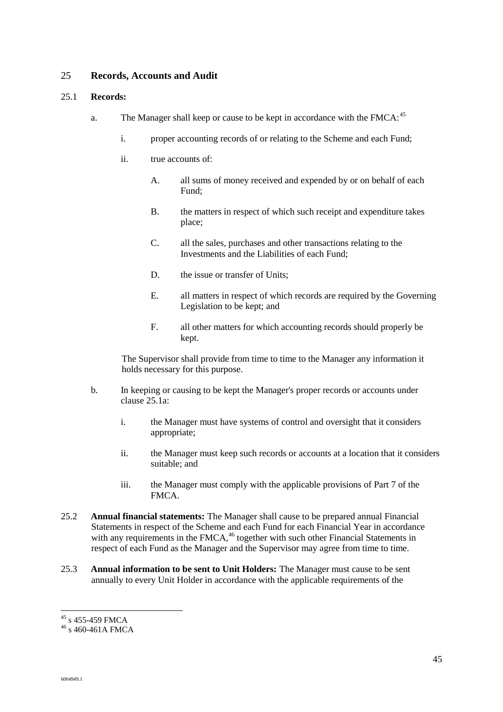#### 25 **Records, Accounts and Audit**

#### 25.1 **Records:**

- a. The Manager shall keep or cause to be kept in accordance with the FMCA:  $45$ 
	- i. proper accounting records of or relating to the Scheme and each Fund;
	- ii. true accounts of:
		- A. all sums of money received and expended by or on behalf of each Fund;
		- B. the matters in respect of which such receipt and expenditure takes place;
		- C. all the sales, purchases and other transactions relating to the Investments and the Liabilities of each Fund;
		- D. the issue or transfer of Units:
		- E. all matters in respect of which records are required by the Governing Legislation to be kept; and
		- F. all other matters for which accounting records should properly be kept.

The Supervisor shall provide from time to time to the Manager any information it holds necessary for this purpose.

- b. In keeping or causing to be kept the Manager's proper records or accounts under clause 25.1a:
	- i. the Manager must have systems of control and oversight that it considers appropriate;
	- ii. the Manager must keep such records or accounts at a location that it considers suitable; and
	- iii. the Manager must comply with the applicable provisions of Part 7 of the FMCA.
- 25.2 **Annual financial statements:** The Manager shall cause to be prepared annual Financial Statements in respect of the Scheme and each Fund for each Financial Year in accordance with any requirements in the  $FMCA$ ,<sup>46</sup> together with such other Financial Statements in respect of each Fund as the Manager and the Supervisor may agree from time to time.
- 25.3 **Annual information to be sent to Unit Holders:** The Manager must cause to be sent annually to every Unit Holder in accordance with the applicable requirements of the

l  $45$  s 455-459 FMCA

<sup>46</sup> s 460-461A FMCA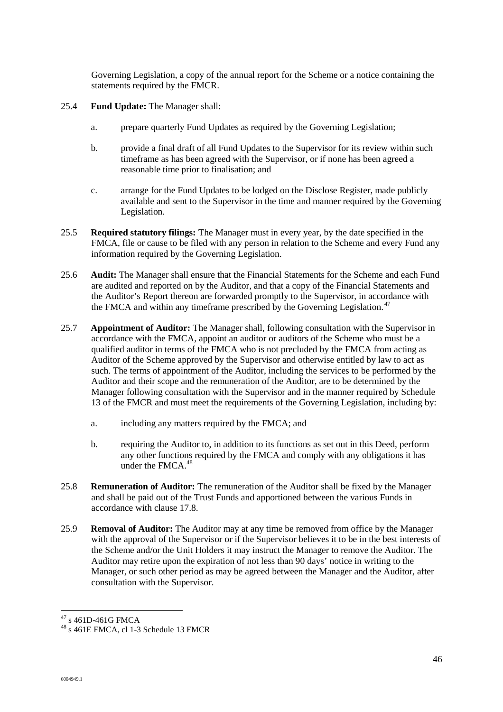Governing Legislation, a copy of the annual report for the Scheme or a notice containing the statements required by the FMCR.

- 25.4 **Fund Update:** The Manager shall:
	- a. prepare quarterly Fund Updates as required by the Governing Legislation;
	- b. provide a final draft of all Fund Updates to the Supervisor for its review within such timeframe as has been agreed with the Supervisor, or if none has been agreed a reasonable time prior to finalisation; and
	- c. arrange for the Fund Updates to be lodged on the Disclose Register, made publicly available and sent to the Supervisor in the time and manner required by the Governing Legislation.
- 25.5 **Required statutory filings:** The Manager must in every year, by the date specified in the FMCA, file or cause to be filed with any person in relation to the Scheme and every Fund any information required by the Governing Legislation.
- 25.6 **Audit:** The Manager shall ensure that the Financial Statements for the Scheme and each Fund are audited and reported on by the Auditor, and that a copy of the Financial Statements and the Auditor's Report thereon are forwarded promptly to the Supervisor, in accordance with the FMCA and within any timeframe prescribed by the Governing Legislation.<sup>47</sup>
- 25.7 **Appointment of Auditor:** The Manager shall, following consultation with the Supervisor in accordance with the FMCA, appoint an auditor or auditors of the Scheme who must be a qualified auditor in terms of the FMCA who is not precluded by the FMCA from acting as Auditor of the Scheme approved by the Supervisor and otherwise entitled by law to act as such. The terms of appointment of the Auditor, including the services to be performed by the Auditor and their scope and the remuneration of the Auditor, are to be determined by the Manager following consultation with the Supervisor and in the manner required by Schedule 13 of the FMCR and must meet the requirements of the Governing Legislation, including by:
	- a. including any matters required by the FMCA; and
	- b. requiring the Auditor to, in addition to its functions as set out in this Deed, perform any other functions required by the FMCA and comply with any obligations it has under the FMCA.<sup>48</sup>
- 25.8 **Remuneration of Auditor:** The remuneration of the Auditor shall be fixed by the Manager and shall be paid out of the Trust Funds and apportioned between the various Funds in accordance with clause 17.8.
- 25.9 **Removal of Auditor:** The Auditor may at any time be removed from office by the Manager with the approval of the Supervisor or if the Supervisor believes it to be in the best interests of the Scheme and/or the Unit Holders it may instruct the Manager to remove the Auditor. The Auditor may retire upon the expiration of not less than 90 days' notice in writing to the Manager, or such other period as may be agreed between the Manager and the Auditor, after consultation with the Supervisor.

l

 $47$  s 461D-461G FMCA

<sup>48</sup> s 461E FMCA, cl 1-3 Schedule 13 FMCR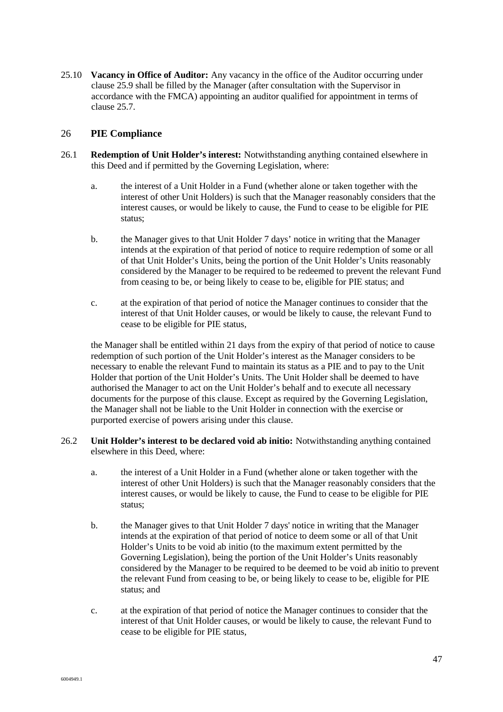25.10 **Vacancy in Office of Auditor:** Any vacancy in the office of the Auditor occurring under clause 25.9 shall be filled by the Manager (after consultation with the Supervisor in accordance with the FMCA) appointing an auditor qualified for appointment in terms of clause 25.7.

#### 26 **PIE Compliance**

- 26.1 **Redemption of Unit Holder's interest:** Notwithstanding anything contained elsewhere in this Deed and if permitted by the Governing Legislation, where:
	- a. the interest of a Unit Holder in a Fund (whether alone or taken together with the interest of other Unit Holders) is such that the Manager reasonably considers that the interest causes, or would be likely to cause, the Fund to cease to be eligible for PIE status;
	- b. the Manager gives to that Unit Holder 7 days' notice in writing that the Manager intends at the expiration of that period of notice to require redemption of some or all of that Unit Holder's Units, being the portion of the Unit Holder's Units reasonably considered by the Manager to be required to be redeemed to prevent the relevant Fund from ceasing to be, or being likely to cease to be, eligible for PIE status; and
	- c. at the expiration of that period of notice the Manager continues to consider that the interest of that Unit Holder causes, or would be likely to cause, the relevant Fund to cease to be eligible for PIE status,

the Manager shall be entitled within 21 days from the expiry of that period of notice to cause redemption of such portion of the Unit Holder's interest as the Manager considers to be necessary to enable the relevant Fund to maintain its status as a PIE and to pay to the Unit Holder that portion of the Unit Holder's Units. The Unit Holder shall be deemed to have authorised the Manager to act on the Unit Holder's behalf and to execute all necessary documents for the purpose of this clause. Except as required by the Governing Legislation, the Manager shall not be liable to the Unit Holder in connection with the exercise or purported exercise of powers arising under this clause.

- 26.2 **Unit Holder's interest to be declared void ab initio:** Notwithstanding anything contained elsewhere in this Deed, where:
	- a. the interest of a Unit Holder in a Fund (whether alone or taken together with the interest of other Unit Holders) is such that the Manager reasonably considers that the interest causes, or would be likely to cause, the Fund to cease to be eligible for PIE status;
	- b. the Manager gives to that Unit Holder 7 days' notice in writing that the Manager intends at the expiration of that period of notice to deem some or all of that Unit Holder's Units to be void ab initio (to the maximum extent permitted by the Governing Legislation), being the portion of the Unit Holder's Units reasonably considered by the Manager to be required to be deemed to be void ab initio to prevent the relevant Fund from ceasing to be, or being likely to cease to be, eligible for PIE status; and
	- c. at the expiration of that period of notice the Manager continues to consider that the interest of that Unit Holder causes, or would be likely to cause, the relevant Fund to cease to be eligible for PIE status,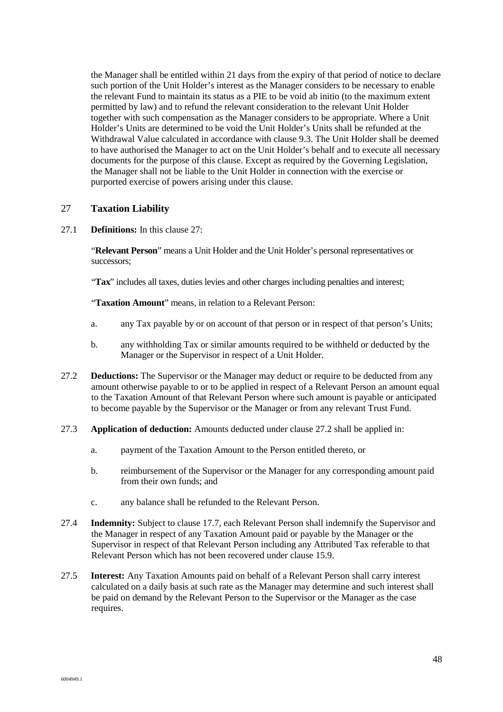the Manager shall be entitled within 21 days from the expiry of that period of notice to declare such portion of the Unit Holder's interest as the Manager considers to be necessary to enable the relevant Fund to maintain its status as a PIE to be void ab initio (to the maximum extent permitted by law) and to refund the relevant consideration to the relevant Unit Holder together with such compensation as the Manager considers to be appropriate. Where a Unit Holder's Units are determined to be void the Unit Holder's Units shall be refunded at the Withdrawal Value calculated in accordance with clause 9.3. The Unit Holder shall be deemed to have authorised the Manager to act on the Unit Holder's behalf and to execute all necessary documents for the purpose of this clause. Except as required by the Governing Legislation, the Manager shall not be liable to the Unit Holder in connection with the exercise or purported exercise of powers arising under this clause.

#### 27 **Taxation Liability**

27.1 **Definitions:** In this clause 27:

"**Relevant Person**" means a Unit Holder and the Unit Holder's personal representatives or successors;

"Tax" includes all taxes, duties levies and other charges including penalties and interest;

"**Taxation Amount**" means, in relation to a Relevant Person:

- a. any Tax payable by or on account of that person or in respect of that person's Units;
- b. any withholding Tax or similar amounts required to be withheld or deducted by the Manager or the Supervisor in respect of a Unit Holder.
- 27.2 **Deductions:** The Supervisor or the Manager may deduct or require to be deducted from any amount otherwise payable to or to be applied in respect of a Relevant Person an amount equal to the Taxation Amount of that Relevant Person where such amount is payable or anticipated to become payable by the Supervisor or the Manager or from any relevant Trust Fund.
- 27.3 **Application of deduction:** Amounts deducted under clause 27.2 shall be applied in:
	- a. payment of the Taxation Amount to the Person entitled thereto, or
	- b. reimbursement of the Supervisor or the Manager for any corresponding amount paid from their own funds; and
	- c. any balance shall be refunded to the Relevant Person.
- 27.4 **Indemnity:** Subject to clause 17.7, each Relevant Person shall indemnify the Supervisor and the Manager in respect of any Taxation Amount paid or payable by the Manager or the Supervisor in respect of that Relevant Person including any Attributed Tax referable to that Relevant Person which has not been recovered under clause 15.9.
- 27.5 **Interest:** Any Taxation Amounts paid on behalf of a Relevant Person shall carry interest calculated on a daily basis at such rate as the Manager may determine and such interest shall be paid on demand by the Relevant Person to the Supervisor or the Manager as the case requires.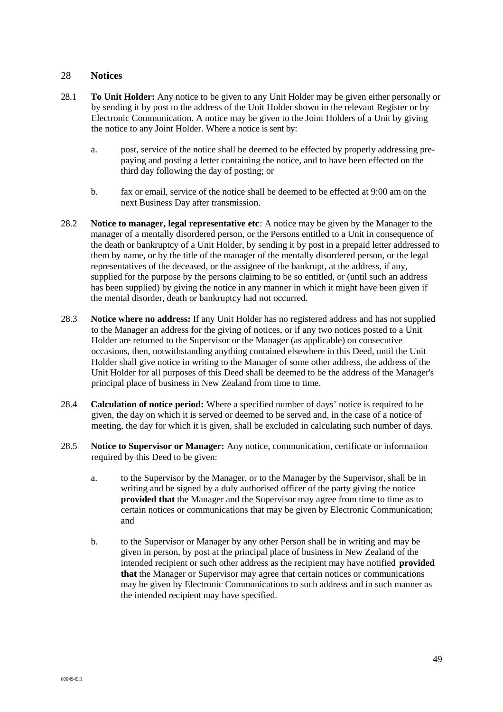#### 28 **Notices**

- 28.1 **To Unit Holder:** Any notice to be given to any Unit Holder may be given either personally or by sending it by post to the address of the Unit Holder shown in the relevant Register or by Electronic Communication. A notice may be given to the Joint Holders of a Unit by giving the notice to any Joint Holder. Where a notice is sent by:
	- a. post, service of the notice shall be deemed to be effected by properly addressing prepaying and posting a letter containing the notice, and to have been effected on the third day following the day of posting; or
	- b. fax or email, service of the notice shall be deemed to be effected at 9:00 am on the next Business Day after transmission.
- 28.2 **Notice to manager, legal representative etc**: A notice may be given by the Manager to the manager of a mentally disordered person, or the Persons entitled to a Unit in consequence of the death or bankruptcy of a Unit Holder, by sending it by post in a prepaid letter addressed to them by name, or by the title of the manager of the mentally disordered person, or the legal representatives of the deceased, or the assignee of the bankrupt, at the address, if any, supplied for the purpose by the persons claiming to be so entitled, or (until such an address has been supplied) by giving the notice in any manner in which it might have been given if the mental disorder, death or bankruptcy had not occurred.
- 28.3 **Notice where no address:** If any Unit Holder has no registered address and has not supplied to the Manager an address for the giving of notices, or if any two notices posted to a Unit Holder are returned to the Supervisor or the Manager (as applicable) on consecutive occasions, then, notwithstanding anything contained elsewhere in this Deed, until the Unit Holder shall give notice in writing to the Manager of some other address, the address of the Unit Holder for all purposes of this Deed shall be deemed to be the address of the Manager's principal place of business in New Zealand from time to time.
- 28.4 **Calculation of notice period:** Where a specified number of days' notice is required to be given, the day on which it is served or deemed to be served and, in the case of a notice of meeting, the day for which it is given, shall be excluded in calculating such number of days.
- 28.5 **Notice to Supervisor or Manager:** Any notice, communication, certificate or information required by this Deed to be given:
	- a. to the Supervisor by the Manager, or to the Manager by the Supervisor, shall be in writing and be signed by a duly authorised officer of the party giving the notice **provided that** the Manager and the Supervisor may agree from time to time as to certain notices or communications that may be given by Electronic Communication; and
	- b. to the Supervisor or Manager by any other Person shall be in writing and may be given in person, by post at the principal place of business in New Zealand of the intended recipient or such other address as the recipient may have notified **provided that** the Manager or Supervisor may agree that certain notices or communications may be given by Electronic Communications to such address and in such manner as the intended recipient may have specified.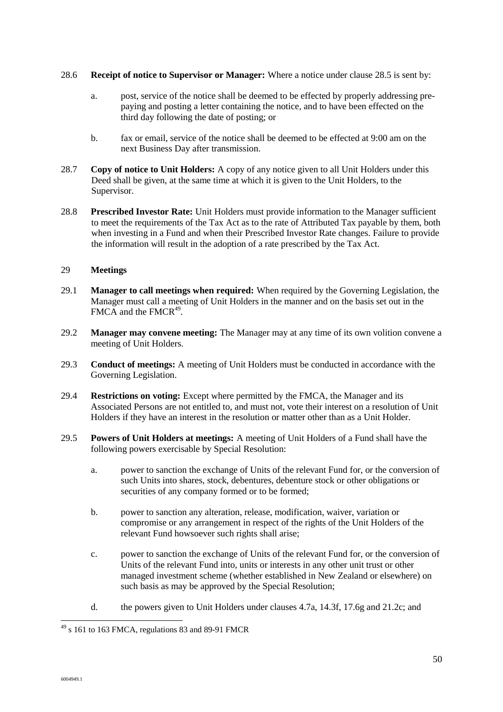#### 28.6 **Receipt of notice to Supervisor or Manager:** Where a notice under clause 28.5 is sent by:

- a. post, service of the notice shall be deemed to be effected by properly addressing prepaying and posting a letter containing the notice, and to have been effected on the third day following the date of posting; or
- b. fax or email, service of the notice shall be deemed to be effected at 9:00 am on the next Business Day after transmission.
- 28.7 **Copy of notice to Unit Holders:** A copy of any notice given to all Unit Holders under this Deed shall be given, at the same time at which it is given to the Unit Holders, to the Supervisor.
- 28.8 **Prescribed Investor Rate:** Unit Holders must provide information to the Manager sufficient to meet the requirements of the Tax Act as to the rate of Attributed Tax payable by them, both when investing in a Fund and when their Prescribed Investor Rate changes. Failure to provide the information will result in the adoption of a rate prescribed by the Tax Act.

#### 29 **Meetings**

- 29.1 **Manager to call meetings when required:** When required by the Governing Legislation, the Manager must call a meeting of Unit Holders in the manner and on the basis set out in the  $FMCA$  and the  $FMCR<sup>49</sup>$ .
- 29.2 **Manager may convene meeting:** The Manager may at any time of its own volition convene a meeting of Unit Holders.
- 29.3 **Conduct of meetings:** A meeting of Unit Holders must be conducted in accordance with the Governing Legislation.
- 29.4 **Restrictions on voting:** Except where permitted by the FMCA, the Manager and its Associated Persons are not entitled to, and must not, vote their interest on a resolution of Unit Holders if they have an interest in the resolution or matter other than as a Unit Holder.
- 29.5 **Powers of Unit Holders at meetings:** A meeting of Unit Holders of a Fund shall have the following powers exercisable by Special Resolution:
	- a. power to sanction the exchange of Units of the relevant Fund for, or the conversion of such Units into shares, stock, debentures, debenture stock or other obligations or securities of any company formed or to be formed;
	- b. power to sanction any alteration, release, modification, waiver, variation or compromise or any arrangement in respect of the rights of the Unit Holders of the relevant Fund howsoever such rights shall arise;
	- c. power to sanction the exchange of Units of the relevant Fund for, or the conversion of Units of the relevant Fund into, units or interests in any other unit trust or other managed investment scheme (whether established in New Zealand or elsewhere) on such basis as may be approved by the Special Resolution;
	- d. the powers given to Unit Holders under clauses 4.7a, 14.3f, 17.6g and 21.2c; and

 $\overline{a}$  $49$  s 161 to 163 FMCA, regulations 83 and 89-91 FMCR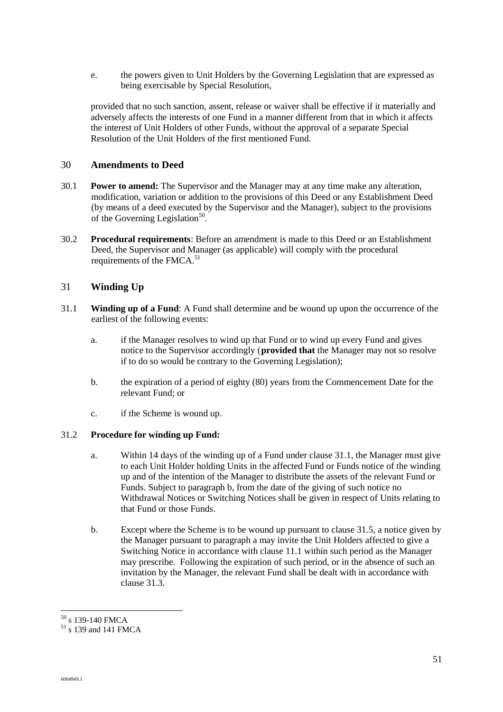e. the powers given to Unit Holders by the Governing Legislation that are expressed as being exercisable by Special Resolution,

provided that no such sanction, assent, release or waiver shall be effective if it materially and adversely affects the interests of one Fund in a manner different from that in which it affects the interest of Unit Holders of other Funds, without the approval of a separate Special Resolution of the Unit Holders of the first mentioned Fund.

#### 30 **Amendments to Deed**

- 30.1 **Power to amend:** The Supervisor and the Manager may at any time make any alteration, modification, variation or addition to the provisions of this Deed or any Establishment Deed (by means of a deed executed by the Supervisor and the Manager), subject to the provisions of the Governing Legislation<sup>50</sup>.
- 30.2 **Procedural requirements**: Before an amendment is made to this Deed or an Establishment Deed, the Supervisor and Manager (as applicable) will comply with the procedural requirements of the FMCA.<sup>51</sup>

#### 31 **Winding Up**

- 31.1 **Winding up of a Fund**: A Fund shall determine and be wound up upon the occurrence of the earliest of the following events:
	- a. if the Manager resolves to wind up that Fund or to wind up every Fund and gives notice to the Supervisor accordingly (**provided that** the Manager may not so resolve if to do so would be contrary to the Governing Legislation);
	- b. the expiration of a period of eighty (80) years from the Commencement Date for the relevant Fund; or
	- c. if the Scheme is wound up.

#### 31.2 **Procedure for winding up Fund:**

- a. Within 14 days of the winding up of a Fund under clause 31.1, the Manager must give to each Unit Holder holding Units in the affected Fund or Funds notice of the winding up and of the intention of the Manager to distribute the assets of the relevant Fund or Funds. Subject to paragraph b, from the date of the giving of such notice no Withdrawal Notices or Switching Notices shall be given in respect of Units relating to that Fund or those Funds.
- b. Except where the Scheme is to be wound up pursuant to clause 31.5, a notice given by the Manager pursuant to paragraph a may invite the Unit Holders affected to give a Switching Notice in accordance with clause 11.1 within such period as the Manager may prescribe. Following the expiration of such period, or in the absence of such an invitation by the Manager, the relevant Fund shall be dealt with in accordance with clause 31.3.

l  $50$  s 139-140 FMCA

 $51$  s 139 and 141 FMCA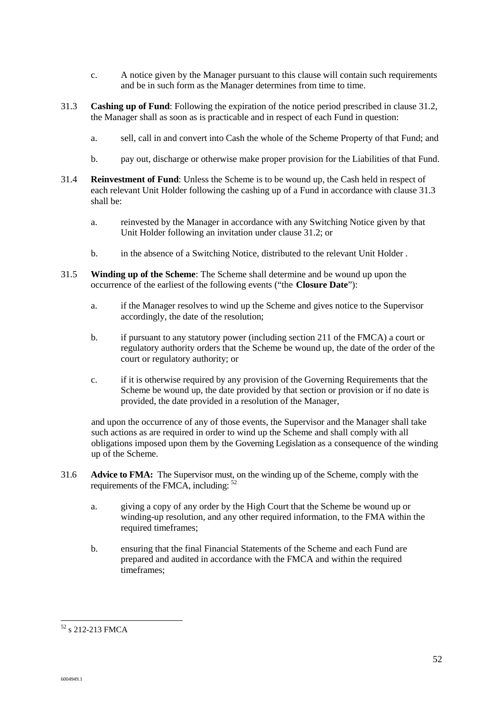- c. A notice given by the Manager pursuant to this clause will contain such requirements and be in such form as the Manager determines from time to time.
- 31.3 **Cashing up of Fund**: Following the expiration of the notice period prescribed in clause 31.2, the Manager shall as soon as is practicable and in respect of each Fund in question:
	- a. sell, call in and convert into Cash the whole of the Scheme Property of that Fund; and
	- b. pay out, discharge or otherwise make proper provision for the Liabilities of that Fund.
- 31.4 **Reinvestment of Fund**: Unless the Scheme is to be wound up, the Cash held in respect of each relevant Unit Holder following the cashing up of a Fund in accordance with clause 31.3 shall be:
	- a. reinvested by the Manager in accordance with any Switching Notice given by that Unit Holder following an invitation under clause 31.2; or
	- b. in the absence of a Switching Notice, distributed to the relevant Unit Holder .
- 31.5 **Winding up of the Scheme**: The Scheme shall determine and be wound up upon the occurrence of the earliest of the following events ("the **Closure Date**"):
	- a. if the Manager resolves to wind up the Scheme and gives notice to the Supervisor accordingly, the date of the resolution;
	- b. if pursuant to any statutory power (including section 211 of the FMCA) a court or regulatory authority orders that the Scheme be wound up, the date of the order of the court or regulatory authority; or
	- c. if it is otherwise required by any provision of the Governing Requirements that the Scheme be wound up, the date provided by that section or provision or if no date is provided, the date provided in a resolution of the Manager,

and upon the occurrence of any of those events, the Supervisor and the Manager shall take such actions as are required in order to wind up the Scheme and shall comply with all obligations imposed upon them by the Governing Legislation as a consequence of the winding up of the Scheme.

- 31.6 **Advice to FMA:** The Supervisor must, on the winding up of the Scheme, comply with the requirements of the FMCA, including: <sup>52</sup>
	- a. giving a copy of any order by the High Court that the Scheme be wound up or winding-up resolution, and any other required information, to the FMA within the required timeframes;
	- b. ensuring that the final Financial Statements of the Scheme and each Fund are prepared and audited in accordance with the FMCA and within the required timeframes;

 $\overline{a}$  $52$  s 212-213 FMCA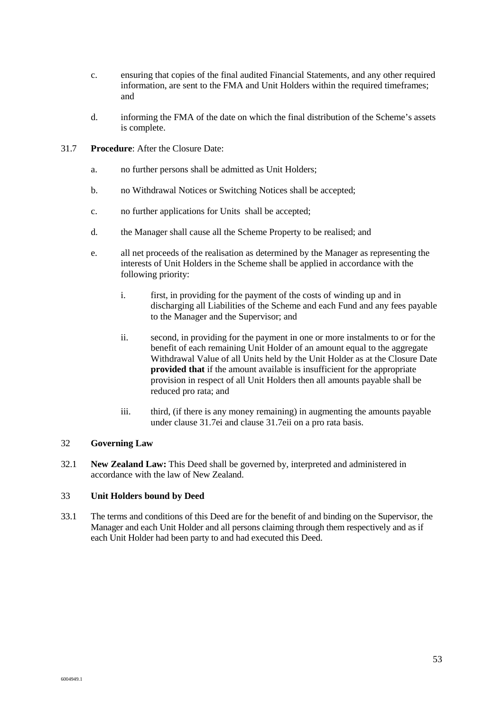- c. ensuring that copies of the final audited Financial Statements, and any other required information, are sent to the FMA and Unit Holders within the required timeframes; and
- d. informing the FMA of the date on which the final distribution of the Scheme's assets is complete.
- 31.7 **Procedure**: After the Closure Date:
	- a. no further persons shall be admitted as Unit Holders;
	- b. no Withdrawal Notices or Switching Notices shall be accepted;
	- c. no further applications for Units shall be accepted;
	- d. the Manager shall cause all the Scheme Property to be realised; and
	- e. all net proceeds of the realisation as determined by the Manager as representing the interests of Unit Holders in the Scheme shall be applied in accordance with the following priority:
		- i. first, in providing for the payment of the costs of winding up and in discharging all Liabilities of the Scheme and each Fund and any fees payable to the Manager and the Supervisor; and
		- ii. second, in providing for the payment in one or more instalments to or for the benefit of each remaining Unit Holder of an amount equal to the aggregate Withdrawal Value of all Units held by the Unit Holder as at the Closure Date **provided that** if the amount available is insufficient for the appropriate provision in respect of all Unit Holders then all amounts payable shall be reduced pro rata; and
		- iii. third, (if there is any money remaining) in augmenting the amounts payable under clause 31.7ei and clause 31.7eii on a pro rata basis.

#### 32 **Governing Law**

32.1 **New Zealand Law:** This Deed shall be governed by, interpreted and administered in accordance with the law of New Zealand.

#### 33 **Unit Holders bound by Deed**

33.1 The terms and conditions of this Deed are for the benefit of and binding on the Supervisor, the Manager and each Unit Holder and all persons claiming through them respectively and as if each Unit Holder had been party to and had executed this Deed.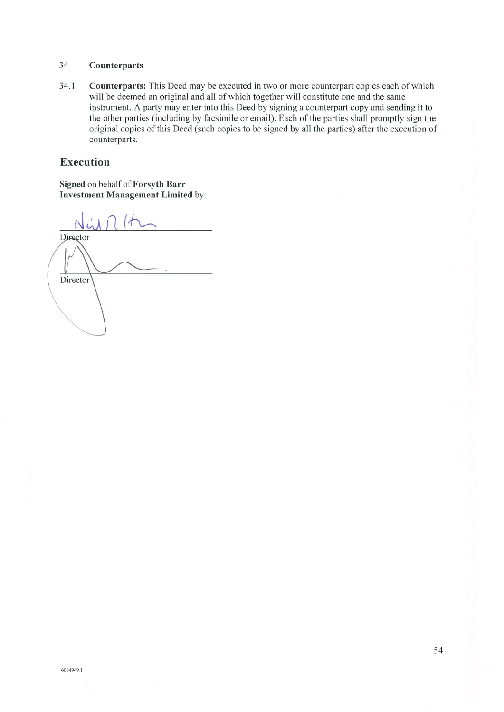#### 34 Counterparts

34.1 Counterparts: This Deed may be executed in two or more counterpart copies each of which will be deemed an original and all of which together will constitute one and the same instrument. A party may enter into this Deed by signing a counterpart copy and sending it to the other parties (including by facsimile or email). Each of the parties shall promptly sign the original copies of this Deed (such copies to be signed by all the parties) after the execution of counterparts.

## **Execution**

Signed on behalf of Forsyth Barr **Investment Management Limited by:** 

Director Director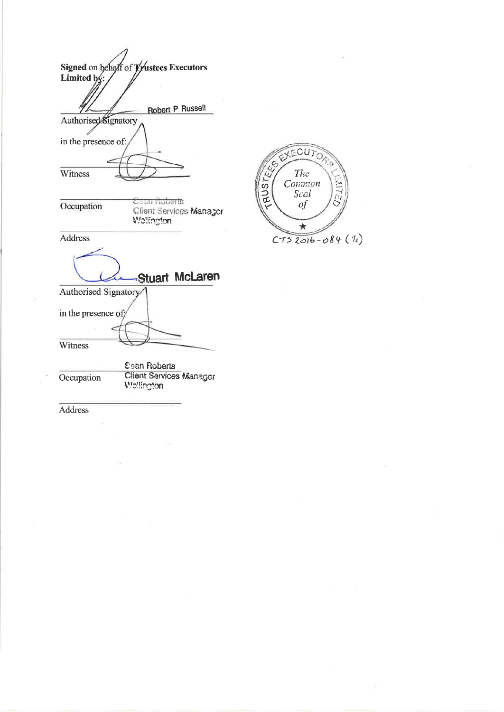|                      | Signed on behalf of Trustees Executors              |               |
|----------------------|-----------------------------------------------------|---------------|
| Limited by:          |                                                     |               |
|                      |                                                     |               |
|                      |                                                     |               |
|                      | <b>Robert P Russell</b>                             |               |
| Authorised Signatory |                                                     |               |
| in the presence of:  |                                                     |               |
|                      |                                                     |               |
| Witness              |                                                     |               |
|                      |                                                     |               |
|                      |                                                     | $\frac{5}{2}$ |
| Occupation           | Cean Roberts                                        |               |
|                      | Client Services Manager<br><i><b>Wallington</b></i> |               |
|                      |                                                     |               |
| <b>Address</b>       |                                                     |               |
|                      |                                                     |               |
|                      |                                                     |               |
|                      | Stuart McLaren                                      |               |
| Authorised Signatory |                                                     |               |
|                      |                                                     |               |
| in the presence of;  |                                                     |               |
|                      |                                                     |               |
|                      |                                                     |               |
| Witness              |                                                     |               |
|                      |                                                     |               |
|                      | <b>Sean Roberts</b>                                 |               |
| Occupation           | <b>Client Services Manager</b>                      |               |
|                      | <b>Wellington</b>                                   |               |
|                      |                                                     |               |
| <b>Address</b>       |                                                     |               |

t.

EXECUTOR

The<br>Common<br>Seal<br>of

 $\star$ 

 $CTS2016 - 084(1)$ 

**SAIR** 

Ç